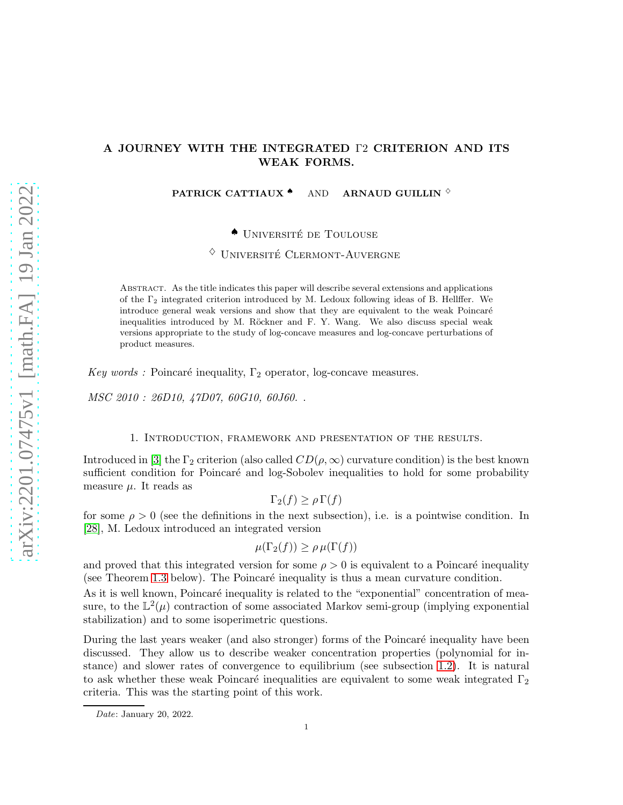# A JOURNEY WITH THE INTEGRATED Γ2 CRITERION AND ITS WEAK FORMS.

PATRICK CATTIAUX  $\bullet$  AND ARNAUD GUILLIN  $\Diamond$ 

◆ UNIVERSITÉ DE TOULOUSE

 $\Diamond$  UNIVERSITÉ CLERMONT-AUVERGNE

Abstract. As the title indicates this paper will describe several extensions and applications of the  $\Gamma_2$  integrated criterion introduced by M. Ledoux following ideas of B. Hellffer. We introduce general weak versions and show that they are equivalent to the weak Poincaré inequalities introduced by M. Röckner and F. Y. Wang. We also discuss special weak versions appropriate to the study of log-concave measures and log-concave perturbations of product measures.

Key words : Poincaré inequality,  $\Gamma_2$  operator, log-concave measures.

MSC 2010 : 26D10, 47D07, 60G10, 60J60. .

## 1. Introduction, framework and presentation of the results.

Introduced in [\[3\]](#page-30-0) the  $\Gamma_2$  criterion (also called  $CD(\rho,\infty)$  curvature condition) is the best known sufficient condition for Poincaré and log-Sobolev inequalities to hold for some probability measure  $\mu$ . It reads as

$$
\Gamma_2(f) \ge \rho \Gamma(f)
$$

for some  $\rho > 0$  (see the definitions in the next subsection), i.e. is a pointwise condition. In [\[28\]](#page-31-0), M. Ledoux introduced an integrated version

$$
\mu(\Gamma_2(f)) \ge \rho \,\mu(\Gamma(f))
$$

and proved that this integrated version for some  $\rho > 0$  is equivalent to a Poincaré inequality (see Theorem [1.3](#page-2-0) below). The Poincaré inequality is thus a mean curvature condition.

As it is well known, Poincaré inequality is related to the "exponential" concentration of measure, to the  $\mathbb{L}^2(\mu)$  contraction of some associated Markov semi-group (implying exponential stabilization) and to some isoperimetric questions.

During the last years weaker (and also stronger) forms of the Poincaré inequality have been discussed. They allow us to describe weaker concentration properties (polynomial for instance) and slower rates of convergence to equilibrium (see subsection [1.2\)](#page-2-1). It is natural to ask whether these weak Poincaré inequalities are equivalent to some weak integrated  $\Gamma_2$ criteria. This was the starting point of this work.

Date: January 20, 2022.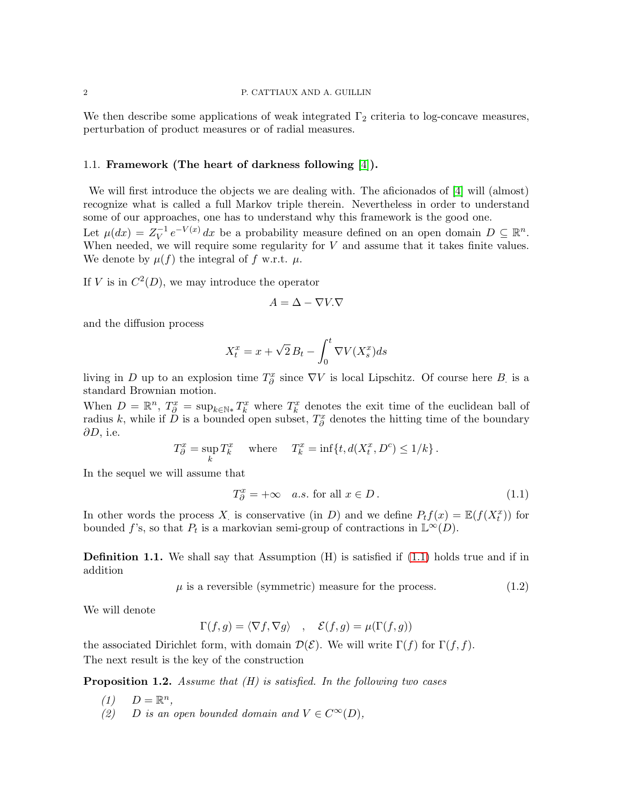We then describe some applications of weak integrated  $\Gamma_2$  criteria to log-concave measures, perturbation of product measures or of radial measures.

## 1.1. Framework (The heart of darkness following [\[4\]](#page-30-1)).

We will first introduce the objects we are dealing with. The aficionados of [\[4\]](#page-30-1) will (almost) recognize what is called a full Markov triple therein. Nevertheless in order to understand some of our approaches, one has to understand why this framework is the good one. Let  $\mu(dx) = Z_V^{-1} e^{-V(x)} dx$  be a probability measure defined on an open domain  $D \subseteq \mathbb{R}^n$ . When needed, we will require some regularity for  $V$  and assume that it takes finite values. We denote by  $\mu(f)$  the integral of f w.r.t.  $\mu$ .

If V is in  $C^2(D)$ , we may introduce the operator

$$
A = \Delta - \nabla V.\nabla
$$

and the diffusion process

$$
X_t^x = x + \sqrt{2} B_t - \int_0^t \nabla V(X_s^x) ds
$$

living in D up to an explosion time  $T^x_{\partial}$  since  $\nabla V$  is local Lipschitz. Of course here B is a standard Brownian motion.

When  $D = \mathbb{R}^n$ ,  $T_{\partial}^x = \sup_{k \in \mathbb{N}*} T_k^x$  where  $T_k^x$  denotes the exit time of the euclidean ball of radius k, while if  $\check{D}$  is a bounded open subset,  $T^x_{\partial}$  denotes the hitting time of the boundary  $\partial D$ , i.e.

$$
T^x_\partial = \sup_k T^x_k \quad \text{ where } \quad T^x_k = \inf\{t, d(X^x_t, D^c) \le 1/k\}.
$$

In the sequel we will assume that

<span id="page-1-0"></span>
$$
T_{\partial}^x = +\infty \quad a.s. \text{ for all } x \in D. \tag{1.1}
$$

In other words the process X is conservative (in D) and we define  $P_t f(x) = \mathbb{E}(f(X_t^x))$  for bounded f's, so that  $P_t$  is a markovian semi-group of contractions in  $\mathbb{L}^{\infty}(D)$ .

**Definition 1.1.** We shall say that Assumption  $(H)$  is satisfied if  $(1.1)$  holds true and if in addition

 $\mu$  is a reversible (symmetric) measure for the process. (1.2)

We will denote

$$
\Gamma(f,g) = \langle \nabla f, \nabla g \rangle \quad , \quad \mathcal{E}(f,g) = \mu(\Gamma(f,g))
$$

the associated Dirichlet form, with domain  $\mathcal{D}(\mathcal{E})$ . We will write  $\Gamma(f)$  for  $\Gamma(f, f)$ . The next result is the key of the construction

<span id="page-1-1"></span>**Proposition 1.2.** Assume that  $(H)$  is satisfied. In the following two cases

- $(1)$   $D = \mathbb{R}^n$ ,
- (2) D is an open bounded domain and  $V \in C^{\infty}(D)$ ,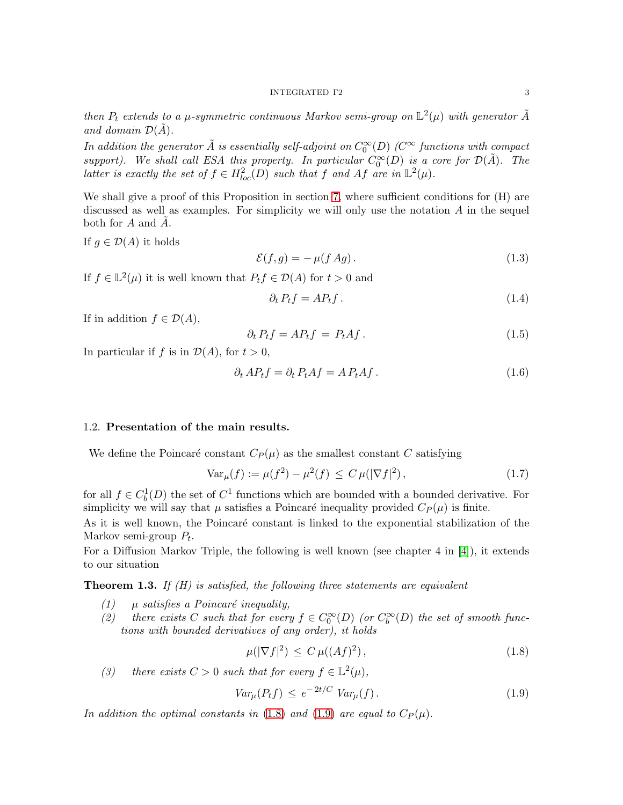then  $P_t$  extends to a  $\mu$ -symmetric continuous Markov semi-group on  $\mathbb{L}^2(\mu)$  with generator  $\tilde{A}$ and domain  $\mathcal{D}(A)$ .

In addition the generator  $\tilde{A}$  is essentially self-adjoint on  $C_0^\infty(D)$  ( $C^\infty$  functions with compact support). We shall call ESA this property. In particular  $C_0^{\infty}(D)$  is a core for  $\mathcal{D}(\tilde{A})$ . The latter is exactly the set of  $f \in H^2_{loc}(D)$  such that f and Af are in  $\mathbb{L}^2(\mu)$ .

We shall give a proof of this Proposition in section [7,](#page-27-0) where sufficient conditions for  $(H)$  are discussed as well as examples. For simplicity we will only use the notation  $A$  in the sequel both for A and A.

If  $q \in \mathcal{D}(A)$  it holds

<span id="page-2-5"></span>
$$
\mathcal{E}(f,g) = -\mu(f \, Ag). \tag{1.3}
$$

If  $f \in \mathbb{L}^2(\mu)$  it is well known that  $P_t f \in \mathcal{D}(A)$  for  $t > 0$  and

<span id="page-2-4"></span>
$$
\partial_t P_t f = A P_t f. \tag{1.4}
$$

If in addition  $f \in \mathcal{D}(A)$ ,

$$
\partial_t P_t f = A P_t f = P_t A f. \tag{1.5}
$$

In particular if f is in  $\mathcal{D}(A)$ , for  $t > 0$ ,

<span id="page-2-6"></span>
$$
\partial_t AP_t f = \partial_t P_t Af = AP_t Af. \tag{1.6}
$$

## <span id="page-2-1"></span>1.2. Presentation of the main results.

We define the Poincaré constant  $C_P(\mu)$  as the smallest constant C satisfying

$$
\text{Var}_{\mu}(f) := \mu(f^2) - \mu^2(f) \le C \,\mu(|\nabla f|^2),\tag{1.7}
$$

for all  $f \in C_b^1(D)$  the set of  $C^1$  functions which are bounded with a bounded derivative. For simplicity we will say that  $\mu$  satisfies a Poincaré inequality provided  $C_P(\mu)$  is finite.

As it is well known, the Poincaré constant is linked to the exponential stabilization of the Markov semi-group  $P_t$ .

For a Diffusion Markov Triple, the following is well known (see chapter 4 in [\[4\]](#page-30-1)), it extends to our situation

<span id="page-2-0"></span>**Theorem 1.3.** If  $(H)$  is satisfied, the following three statements are equivalent

- (1)  $\mu$  satisfies a Poincaré inequality,
- (2) there exists C such that for every  $f \in C_0^{\infty}(D)$  (or  $C_b^{\infty}(D)$  the set of smooth functions with bounded derivatives of any order), it holds

<span id="page-2-2"></span>
$$
\mu(|\nabla f|^2) \le C \mu((Af)^2),\tag{1.8}
$$

(3) there exists  $C > 0$  such that for every  $f \in \mathbb{L}^2(\mu)$ ,

<span id="page-2-3"></span>
$$
Var_{\mu}(P_t f) \le e^{-2t/C} Var_{\mu}(f).
$$
\n(1.9)

In addition the optimal constants in [\(1.8\)](#page-2-2) and [\(1.9\)](#page-2-3) are equal to  $C_P(\mu)$ .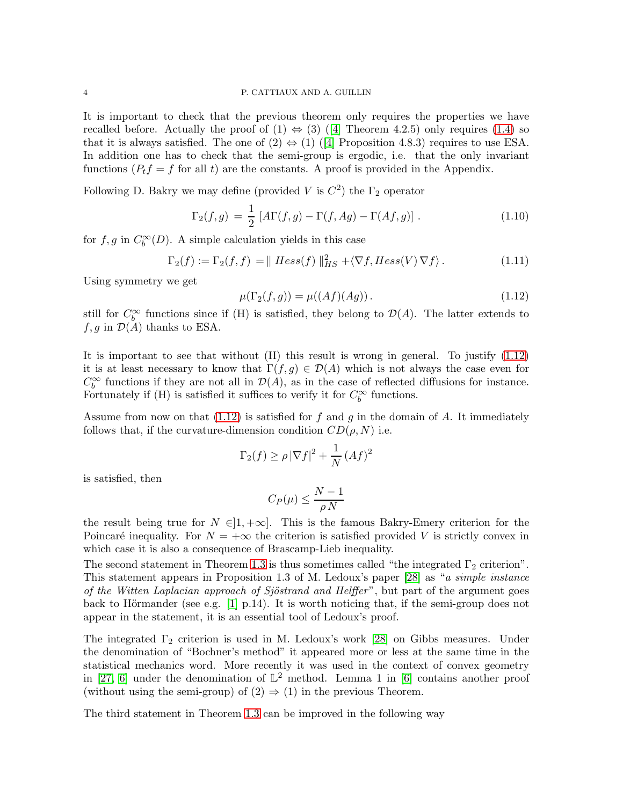It is important to check that the previous theorem only requires the properties we have recalledbefore. Actually the proof of  $(1) \Leftrightarrow (3)$  ([\[4\]](#page-30-1) Theorem 4.2.5) only requires [\(1.4\)](#page-2-4) so thatit is always satisfied. The one of  $(2) \Leftrightarrow (1)$  ([\[4\]](#page-30-1) Proposition 4.8.3) requires to use ESA. In addition one has to check that the semi-group is ergodic, i.e. that the only invariant functions  $(P_t f = f$  for all t) are the constants. A proof is provided in the Appendix.

Following D. Bakry we may define (provided V is  $C^2$ ) the  $\Gamma_2$  operator

<span id="page-3-1"></span>
$$
\Gamma_2(f,g) = \frac{1}{2} \left[ A\Gamma(f,g) - \Gamma(f, Ag) - \Gamma(Af,g) \right]. \tag{1.10}
$$

for  $f, g$  in  $C_b^{\infty}(D)$ . A simple calculation yields in this case

$$
\Gamma_2(f) := \Gamma_2(f, f) = || Hess(f) ||_{HS}^2 + \langle \nabla f, Hess(V) \nabla f \rangle.
$$
 (1.11)

Using symmetry we get

<span id="page-3-0"></span>
$$
\mu(\Gamma_2(f,g)) = \mu((Af)(Ag)).
$$
\n(1.12)

still for  $C_b^{\infty}$  functions since if (H) is satisfied, they belong to  $\mathcal{D}(A)$ . The latter extends to  $f, g$  in  $\mathcal{D}(A)$  thanks to ESA.

It is important to see that without (H) this result is wrong in general. To justify [\(1.12\)](#page-3-0) it is at least necessary to know that  $\Gamma(f,g) \in \mathcal{D}(A)$  which is not always the case even for  $C_6^{\infty}$  functions if they are not all in  $\mathcal{D}(A)$ , as in the case of reflected diffusions for instance. Fortunately if (H) is satisfied it suffices to verify it for  $C_b^{\infty}$  functions.

Assume from now on that  $(1.12)$  is satisfied for f and g in the domain of A. It immediately follows that, if the curvature-dimension condition  $CD(\rho, N)$  i.e.

$$
\Gamma_2(f) \ge \rho \, |\nabla f|^2 + \frac{1}{N} \, (Af)^2
$$

is satisfied, then

$$
C_P(\mu)\leq \frac{N-1}{\rho\,N}
$$

the result being true for  $N \in ]1, +\infty]$ . This is the famous Bakry-Emery criterion for the Poincaré inequality. For  $N = +\infty$  the criterion is satisfied provided V is strictly convex in which case it is also a consequence of Brascamp-Lieb inequality.

The second statement in Theorem [1.3](#page-2-0) is thus sometimes called "the integrated  $\Gamma_2$  criterion". This statement appears in Proposition 1.3 of M. Ledoux's paper [\[28\]](#page-31-0) as "a simple instance of the Witten Laplacian approach of Sjöstrand and Helffer", but part of the argument goes back to Hörmander (see e.g.  $[1]$  p.14). It is worth noticing that, if the semi-group does not appear in the statement, it is an essential tool of Ledoux's proof.

The integrated  $\Gamma_2$  criterion is used in M. Ledoux's work [\[28\]](#page-31-0) on Gibbs measures. Under the denomination of "Bochner's method" it appeared more or less at the same time in the statistical mechanics word. More recently it was used in the context of convex geometry in [\[27,](#page-31-1) [6\]](#page-30-3) under the denomination of  $\mathbb{L}^2$  method. Lemma 1 in [\[6\]](#page-30-3) contains another proof (without using the semi-group) of  $(2) \Rightarrow (1)$  in the previous Theorem.

The third statement in Theorem [1.3](#page-2-0) can be improved in the following way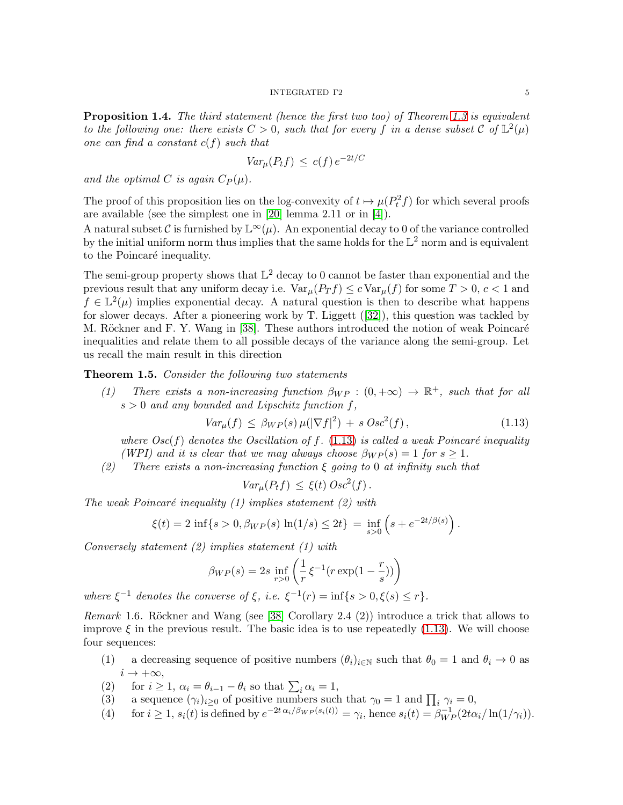#### INTEGRATED Γ2 5

<span id="page-4-3"></span>**Proposition 1.4.** The third statement (hence the first two too) of Theorem [1.3](#page-2-0) is equivalent to the following one: there exists  $C > 0$ , such that for every f in a dense subset C of  $\mathbb{L}^2(\mu)$ one can find a constant  $c(f)$  such that

$$
Var_{\mu}(P_t f) \le c(f) e^{-2t/C}
$$

and the optimal C is again  $C_P(\mu)$ .

The proof of this proposition lies on the log-convexity of  $t \mapsto \mu(P_t^2 f)$  for which several proofs are available (see the simplest one in [\[20\]](#page-31-2) lemma 2.11 or in [\[4\]](#page-30-1)).

A natural subset C is furnished by  $\mathbb{L}^{\infty}(\mu)$ . An exponential decay to 0 of the variance controlled by the initial uniform norm thus implies that the same holds for the  $\mathbb{L}^2$  norm and is equivalent to the Poincaré inequality.

The semi-group property shows that  $\mathbb{L}^2$  decay to 0 cannot be faster than exponential and the previous result that any uniform decay i.e.  $Var_{\mu}(P_T f) \leq c Var_{\mu}(f)$  for some  $T > 0, c < 1$  and  $f \in \mathbb{L}^2(\mu)$  implies exponential decay. A natural question is then to describe what happens for slower decays. After a pioneering work by T. Liggett([\[32\]](#page-31-3)), this question was tackled by M. Röckner and F. Y. Wang in [\[38\]](#page-31-4). These authors introduced the notion of weak Poincaré inequalities and relate them to all possible decays of the variance along the semi-group. Let us recall the main result in this direction

<span id="page-4-1"></span>**Theorem 1.5.** Consider the following two statements

(1) There exists a non-increasing function  $\beta_{WP} : (0, +\infty) \to \mathbb{R}^+$ , such that for all  $s > 0$  and any bounded and Lipschitz function f,

<span id="page-4-0"></span>
$$
Var_{\mu}(f) \leq \beta_{WP}(s) \,\mu(|\nabla f|^2) + s \, Osc^2(f) \,, \tag{1.13}
$$

where  $Osc(f)$  denotes the Oscillation of f. [\(1.13\)](#page-4-0) is called a weak Poincaré inequality (WPI) and it is clear that we may always choose  $\beta_{WP}(s) = 1$  for  $s \geq 1$ .

(2) There exists a non-increasing function  $\xi$  going to 0 at infinity such that

$$
Var_{\mu}(P_t f) \leq \xi(t) \, Osc^2(f).
$$

The weak Poincaré inequality  $(1)$  implies statement  $(2)$  with

$$
\xi(t) = 2 \inf \{ s > 0, \beta_{WP}(s) \ln(1/s) \le 2t \} = \inf_{s > 0} \left( s + e^{-2t/\beta(s)} \right).
$$

Conversely statement (2) implies statement (1) with

$$
\beta_{WP}(s) = 2s \inf_{r>0} \left( \frac{1}{r} \xi^{-1} (r \exp(1 - \frac{r}{s})) \right)
$$

where  $\xi^{-1}$  denotes the converse of  $\xi$ , i.e.  $\xi^{-1}(r) = \inf\{s > 0, \xi(s) \le r\}.$ 

<span id="page-4-2"></span>*Remark* 1.6. Röckner and Wang (see [\[38\]](#page-31-4) Corollary 2.4 (2)) introduce a trick that allows to improve  $\xi$  in the previous result. The basic idea is to use repeatedly [\(1.13\)](#page-4-0). We will choose four sequences:

- (1) a decreasing sequence of positive numbers  $(\theta_i)_{i\in\mathbb{N}}$  such that  $\theta_0 = 1$  and  $\theta_i \to 0$  as  $i \rightarrow +\infty$ ,
- (2) for  $i \geq 1$ ,  $\alpha_i = \theta_{i-1} \theta_i$  so that  $\sum_i \alpha_i = 1$ ,
- (3) a sequence  $(\gamma_i)_{i\geq 0}$  of positive numbers such that  $\gamma_0 = 1$  and  $\prod_i \gamma_i = 0$ ,
- (4) for  $i \geq 1$ ,  $s_i(t)$  is defined by  $e^{-2t \alpha_i/\beta_{WP}(s_i(t))} = \gamma_i$ , hence  $s_i(t) = \beta_{WP}^{-1}(2t\alpha_i/\ln(1/\gamma_i))$ .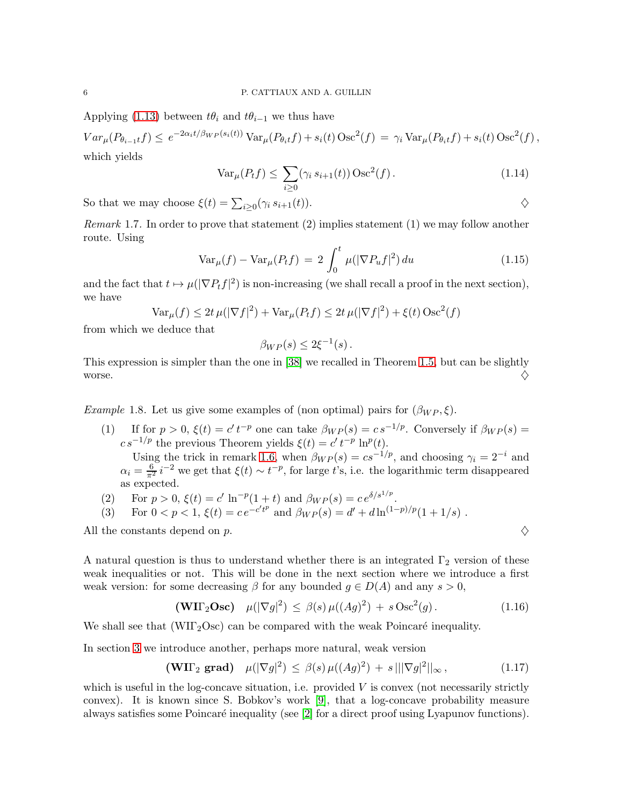Applying [\(1.13\)](#page-4-0) between  $t\theta_i$  and  $t\theta_{i-1}$  we thus have

 $Var_{\mu}(P_{\theta_{i-1}t}f) \leq e^{-2\alpha_i t/\beta_{WP}(s_i(t))} \text{Var}_{\mu}(P_{\theta_i t}f) + s_i(t) \text{Osc}^2(f) = \gamma_i \text{Var}_{\mu}(P_{\theta_i t}f) + s_i(t) \text{Osc}^2(f),$ which yields

$$
\text{Var}_{\mu}(P_t f) \le \sum_{i \ge 0} (\gamma_i s_{i+1}(t)) \text{Osc}^2(f). \tag{1.14}
$$

So that we may choose  $\xi(t) = \sum_{i \geq 0} (\gamma_i s_{i+1}(t)).$ 

*Remark* 1.7. In order to prove that statement  $(2)$  implies statement  $(1)$  we may follow another route. Using

<span id="page-5-1"></span>
$$
\text{Var}_{\mu}(f) - \text{Var}_{\mu}(P_t f) = 2 \int_0^t \mu(|\nabla P_u f|^2) du \qquad (1.15)
$$

and the fact that  $t \mapsto \mu(|\nabla P_t f|^2)$  is non-increasing (we shall recall a proof in the next section), we have

$$
\text{Var}_{\mu}(f) \le 2t \,\mu(|\nabla f|^2) + \text{Var}_{\mu}(P_t f) \le 2t \,\mu(|\nabla f|^2) + \xi(t) \,\text{Osc}^2(f)
$$

from which we deduce that

$$
\beta_{WP}(s) \leq 2\xi^{-1}(s).
$$

This expression is simpler than the one in [\[38\]](#page-31-4) we recalled in Theorem [1.5,](#page-4-1) but can be slightly worse.  $\Diamond$ 

<span id="page-5-2"></span>Example 1.8. Let us give some examples of (non optimal) pairs for  $(\beta_{WP}, \xi)$ .

(1) If for  $p > 0$ ,  $\xi(t) = c' t^{-p}$  one can take  $\beta_{WP}(s) = c s^{-1/p}$ . Conversely if  $\beta_{WP}(s) = c' t^{-p}$  $cs^{-1/p}$  the previous Theorem yields  $\xi(t) = c' t^{-p} \ln^p(t)$ .

Using the trick in remark [1.6,](#page-4-2) when  $\beta_{WP}(s) = cs^{-1/p}$ , and choosing  $\gamma_i = 2^{-i}$  and  $\alpha_i = \frac{6}{\pi^2} i^{-2}$  we get that  $\xi(t) \sim t^{-p}$ , for large t's, i.e. the logarithmic term disappeared as expected.

(2) For  $p > 0$ ,  $\xi(t) = c' \ln^{-p}(1+t)$  and  $\beta_{WP}(s) = c e^{\delta/s^{1/p}}$ .

(3) For 
$$
0 < p < 1
$$
,  $\xi(t) = c e^{-c't^p}$  and  $\beta_{WP}(s) = d' + d \ln^{(1-p)/p}(1 + 1/s)$ .

All the constants depend on p.  $\diamondsuit$ 

A natural question is thus to understand whether there is an integrated  $\Gamma_2$  version of these weak inequalities or not. This will be done in the next section where we introduce a first weak version: for some decreasing  $\beta$  for any bounded  $g \in D(A)$  and any  $s > 0$ ,

<span id="page-5-0"></span>
$$
\text{(WII}_2\text{Osc}) \quad \mu(|\nabla g|^2) \le \beta(s) \,\mu((Ag)^2) + s \operatorname{Osc}^2(g). \tag{1.16}
$$

We shall see that  $(WII<sub>2</sub>Osc)$  can be compared with the weak Poincaré inequality.

In section [3](#page-10-0) we introduce another, perhaps more natural, weak version

$$
(\mathbf{W}\Pi_2 \; \mathbf{grad}) \quad \mu(|\nabla g|^2) \le \beta(s) \, \mu((Ag)^2) + s \, |||\nabla g|^2||_{\infty}, \tag{1.17}
$$

which is useful in the log-concave situation, i.e. provided  $V$  is convex (not necessarily strictly convex). It is known since S. Bobkov's work [\[9\]](#page-30-4), that a log-concave probability measure always satisfies some Poincaré inequality (see  $[2]$  for a direct proof using Lyapunov functions).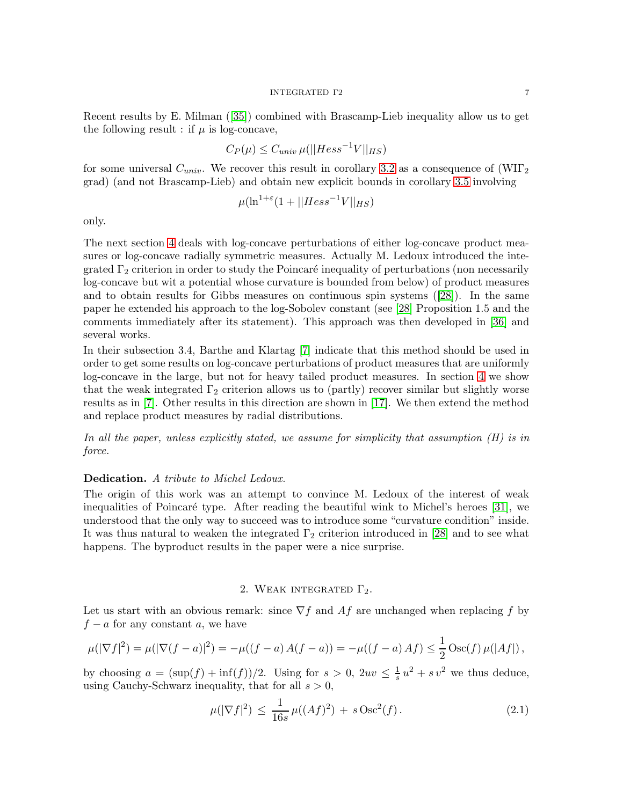Recent results by E. Milman([\[35\]](#page-31-5)) combined with Brascamp-Lieb inequality allow us to get the following result : if  $\mu$  is log-concave,

$$
C_P(\mu) \le C_{univ} \,\mu(||Hess^{-1}V||_{HS})
$$

for some universal  $C_{univ}$ . We recover this result in corollary [3.2](#page-11-0) as a consequence of  $(WII<sub>2</sub>)$ grad) (and not Brascamp-Lieb) and obtain new explicit bounds in corollary [3.5](#page-13-0) involving

$$
\mu(\ln^{1+\varepsilon}(1+||Hess^{-1}V||_{HS})
$$

only.

The next section [4](#page-14-0) deals with log-concave perturbations of either log-concave product measures or log-concave radially symmetric measures. Actually M. Ledoux introduced the integrated  $\Gamma_2$  criterion in order to study the Poincaré inequality of perturbations (non necessarily log-concave but wit a potential whose curvature is bounded from below) of product measures and to obtain results for Gibbs measures on continuous spin systems([\[28\]](#page-31-0)). In the same paper he extended his approach to the log-Sobolev constant (see [\[28\]](#page-31-0) Proposition 1.5 and the comments immediately after its statement). This approach was then developed in [\[36\]](#page-31-6) and several works.

In their subsection 3.4, Barthe and Klartag [\[7\]](#page-30-6) indicate that this method should be used in order to get some results on log-concave perturbations of product measures that are uniformly log-concave in the large, but not for heavy tailed product measures. In section [4](#page-14-0) we show that the weak integrated  $\Gamma_2$  criterion allows us to (partly) recover similar but slightly worse results as in [\[7\]](#page-30-6). Other results in this direction are shown in [\[17\]](#page-31-7). We then extend the method and replace product measures by radial distributions.

In all the paper, unless explicitly stated, we assume for simplicity that assumption  $(H)$  is in force.

#### Dedication. A tribute to Michel Ledoux.

The origin of this work was an attempt to convince M. Ledoux of the interest of weak inequalities of Poincaré type. After reading the beautiful wink to Michel's heroes  $[31]$ , we understood that the only way to succeed was to introduce some "curvature condition" inside. It was thus natural to weaken the integrated  $\Gamma_2$  criterion introduced in [\[28\]](#page-31-0) and to see what happens. The byproduct results in the paper were a nice surprise.

# 2. WEAK INTEGRATED  $\Gamma_2$ .

<span id="page-6-1"></span>Let us start with an obvious remark: since  $\nabla f$  and  $\Lambda f$  are unchanged when replacing f by  $f - a$  for any constant a, we have

$$
\mu(|\nabla f|^2) = \mu(|\nabla (f-a)|^2) = -\mu((f-a) A(f-a)) = -\mu((f-a) Af) \leq \frac{1}{2} \operatorname{Osc}(f) \mu(|Af|) ,
$$

by choosing  $a = (\sup(f) + \inf(f))/2$ . Using for  $s > 0$ ,  $2uv \leq \frac{1}{s}$  $\frac{1}{s}u^2 + sv^2$  we thus deduce, using Cauchy-Schwarz inequality, that for all  $s > 0$ ,

<span id="page-6-0"></span>
$$
\mu(|\nabla f|^2) \le \frac{1}{16s} \mu((Af)^2) + s \operatorname{Osc}^2(f). \tag{2.1}
$$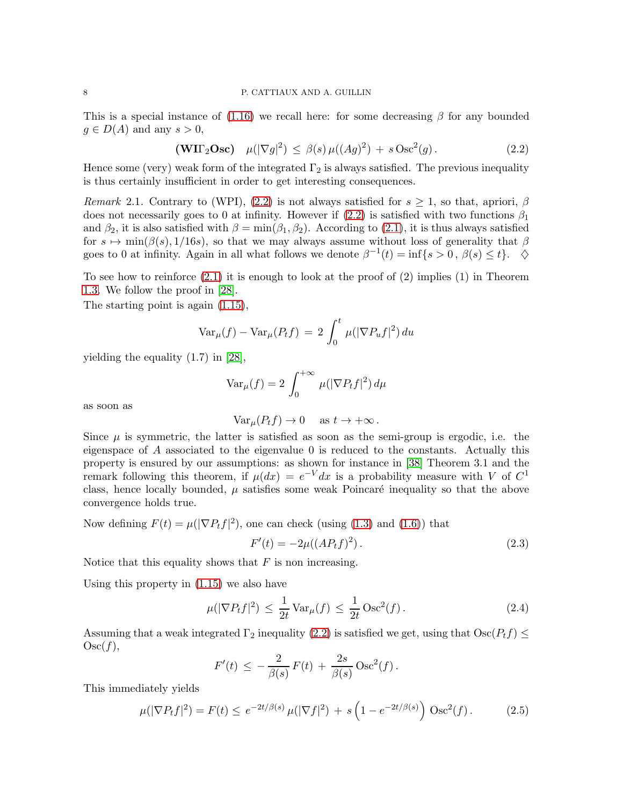## 8 P. CATTIAUX AND A. GUILLIN

This is a special instance of  $(1.16)$  we recall here: for some decreasing  $\beta$  for any bounded  $g \in D(A)$  and any  $s > 0$ ,

<span id="page-7-0"></span>
$$
\text{(WII}_2\text{Osc}) \quad \mu(|\nabla g|^2) \le \beta(s) \,\mu((Ag)^2) + s \operatorname{Osc}^2(g). \tag{2.2}
$$

Hence some (very) weak form of the integrated  $\Gamma_2$  is always satisfied. The previous inequality is thus certainly insufficient in order to get interesting consequences.

<span id="page-7-3"></span>Remark 2.1. Contrary to (WPI), [\(2.2\)](#page-7-0) is not always satisfied for  $s \geq 1$ , so that, apriori,  $\beta$ does not necessarily goes to 0 at infinity. However if  $(2.2)$  is satisfied with two functions  $\beta_1$ and  $\beta_2$ , it is also satisfied with  $\beta = \min(\beta_1, \beta_2)$ . According to [\(2.1\)](#page-6-0), it is thus always satisfied for  $s \mapsto \min(\beta(s), 1/16s)$ , so that we may always assume without loss of generality that  $\beta$ goes to 0 at infinity. Again in all what follows we denote  $\beta^{-1}(t) = \inf\{s > 0, \beta(s) \le t\}.$ 

To see how to reinforce  $(2.1)$  it is enough to look at the proof of  $(2)$  implies  $(1)$  in Theorem [1.3.](#page-2-0) We follow the proof in [\[28\]](#page-31-0).

The starting point is again  $(1.15)$ ,

$$
\text{Var}_{\mu}(f) - \text{Var}_{\mu}(P_t f) = 2 \int_0^t \mu(|\nabla P_u f|^2) du
$$

yielding the equality (1.7) in [\[28\]](#page-31-0),

$$
\text{Var}_{\mu}(f) = 2 \int_0^{+\infty} \mu(|\nabla P_t f|^2) d\mu
$$

as soon as

$$
\text{Var}_{\mu}(P_t f) \to 0 \quad \text{ as } t \to +\infty \, .
$$

Since  $\mu$  is symmetric, the latter is satisfied as soon as the semi-group is ergodic, i.e. the eigenspace of A associated to the eigenvalue 0 is reduced to the constants. Actually this property is ensured by our assumptions: as shown for instance in [\[38\]](#page-31-4) Theorem 3.1 and the remark following this theorem, if  $\mu(dx) = e^{-V} dx$  is a probability measure with V of  $C^1$ class, hence locally bounded,  $\mu$  satisfies some weak Poincaré inequality so that the above convergence holds true.

Now defining  $F(t) = \mu(|\nabla P_t f|^2)$ , one can check (using [\(1.3\)](#page-2-5) and [\(1.6\)](#page-2-6)) that

$$
F'(t) = -2\mu((AP_t f)^2). \tag{2.3}
$$

Notice that this equality shows that  $F$  is non increasing.

Using this property in [\(1.15\)](#page-5-1) we also have

<span id="page-7-1"></span>
$$
\mu(|\nabla P_t f|^2) \le \frac{1}{2t} \operatorname{Var}_{\mu}(f) \le \frac{1}{2t} \operatorname{Osc}^2(f). \tag{2.4}
$$

Assuming that a weak integrated  $\Gamma_2$  inequality [\(2.2\)](#page-7-0) is satisfied we get, using that  $\text{Osc}(P_t f) \leq$  $Osc(f),$ 

$$
F'(t) \, \leq \, - \, \frac{2}{\beta(s)} \, F(t) \, + \, \frac{2s}{\beta(s)} \, \text{Osc}^2(f) \, .
$$

This immediately yields

<span id="page-7-2"></span>
$$
\mu(|\nabla P_t f|^2) = F(t) \le e^{-2t/\beta(s)} \mu(|\nabla f|^2) + s \left(1 - e^{-2t/\beta(s)}\right) \text{Osc}^2(f). \tag{2.5}
$$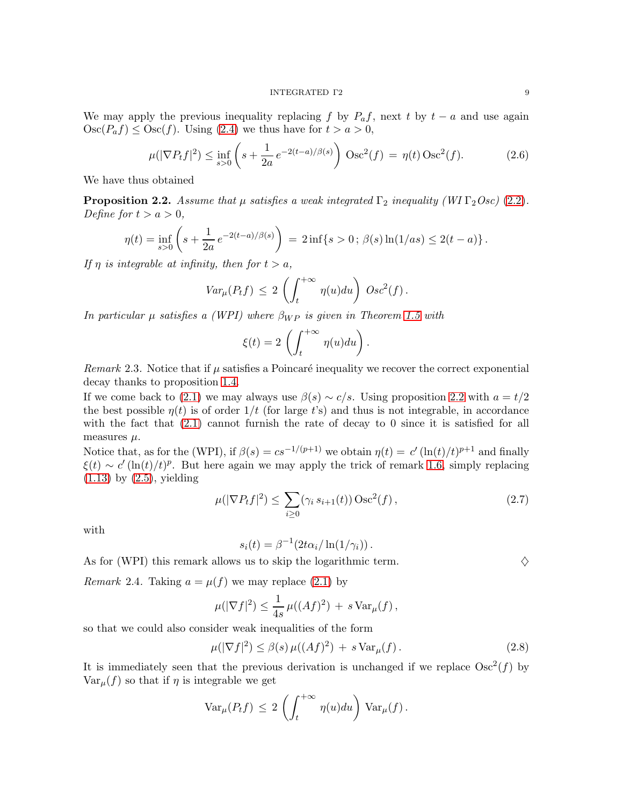We may apply the previous inequality replacing f by  $P_a f$ , next t by  $t - a$  and use again  $\text{Osc}(P_a f) \leq \text{Osc}(f)$ . Using [\(2.4\)](#page-7-1) we thus have for  $t > a > 0$ ,

$$
\mu(|\nabla P_t f|^2) \le \inf_{s>0} \left( s + \frac{1}{2a} e^{-2(t-a)/\beta(s)} \right) \text{Osc}^2(f) = \eta(t) \text{Osc}^2(f). \tag{2.6}
$$

We have thus obtained

<span id="page-8-0"></span>**Proposition 2.2.** Assume that  $\mu$  satisfies a weak integrated  $\Gamma_2$  inequality (WI  $\Gamma_2 Osc$ ) [\(2.2\)](#page-7-0). Define for  $t > a > 0$ ,

$$
\eta(t) = \inf_{s>0} \left( s + \frac{1}{2a} e^{-2(t-a)/\beta(s)} \right) = 2 \inf \{ s > 0; \, \beta(s) \ln(1(as) \le 2(t-a) \}.
$$

If  $\eta$  is integrable at infinity, then for  $t > a$ ,

$$
Var_{\mu}(P_t f) \leq 2 \left( \int_t^{+\infty} \eta(u) du \right) \, Osc^2(f).
$$

In particular  $\mu$  satisfies a (WPI) where  $\beta_{WP}$  is given in Theorem [1.5](#page-4-1) with

$$
\xi(t) = 2 \left( \int_t^{+\infty} \eta(u) du \right).
$$

Remark 2.3. Notice that if  $\mu$  satisfies a Poincaré inequality we recover the correct exponential decay thanks to proposition [1.4.](#page-4-3)

If we come back to [\(2.1\)](#page-6-0) we may always use  $\beta(s) \sim c/s$ . Using proposition [2.2](#page-8-0) with  $a = t/2$ the best possible  $\eta(t)$  is of order  $1/t$  (for large t's) and thus is not integrable, in accordance with the fact that  $(2.1)$  cannot furnish the rate of decay to 0 since it is satisfied for all measures  $\mu$ .

Notice that, as for the (WPI), if  $\beta(s) = cs^{-1/(p+1)}$  we obtain  $\eta(t) = c'(\ln(t)/t)^{p+1}$  and finally  $\xi(t) \sim c'(\ln(t)/t)^p$ . But here again we may apply the trick of remark [1.6,](#page-4-2) simply replacing  $(1.13)$  by  $(2.5)$ , yielding

$$
\mu(|\nabla P_t f|^2) \le \sum_{i \ge 0} (\gamma_i s_{i+1}(t)) \operatorname{Osc}^2(f) , \qquad (2.7)
$$

with

$$
s_i(t) = \beta^{-1} (2t\alpha_i/\ln(1/\gamma_i)).
$$

As for (WPI) this remark allows us to skip the logarithmic term.  $\diamondsuit$ 

Remark 2.4. Taking  $a = \mu(f)$  we may replace [\(2.1\)](#page-6-0) by

$$
\mu(|\nabla f|^2) \le \frac{1}{4s} \,\mu((Af)^2) + s \operatorname{Var}_{\mu}(f) \,,
$$

so that we could also consider weak inequalities of the form

<span id="page-8-1"></span>
$$
\mu(|\nabla f|^2) \le \beta(s)\,\mu((Af)^2) \,+\, s\,\text{Var}_{\mu}(f)\,.
$$
\n(2.8)

It is immediately seen that the previous derivation is unchanged if we replace  $Osc^2(f)$  by  $\text{Var}_{\mu}(f)$  so that if  $\eta$  is integrable we get

$$
\text{Var}_{\mu}(P_t f) \, \leq \, 2 \, \left( \int_t^{+\infty} \, \eta(u) du \right) \, \text{Var}_{\mu}(f) \, .
$$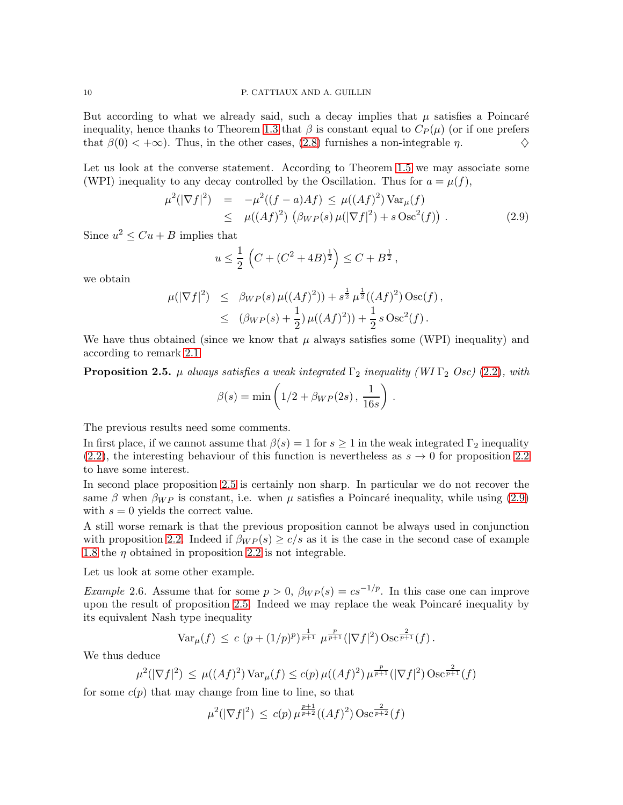But according to what we already said, such a decay implies that  $\mu$  satisfies a Poincaré inequality, hence thanks to Theorem [1.3](#page-2-0) that  $\beta$  is constant equal to  $C_P(\mu)$  (or if one prefers that  $\beta(0) < +\infty$ ). Thus, in the other cases, [\(2.8\)](#page-8-1) furnishes a non-integrable  $\eta$ .

Let us look at the converse statement. According to Theorem [1.5](#page-4-1) we may associate some (WPI) inequality to any decay controlled by the Oscillation. Thus for  $a = \mu(f)$ ,

<span id="page-9-1"></span>
$$
\mu^{2}(|\nabla f|^{2}) = -\mu^{2}((f-a)Af) \leq \mu((Af)^{2}) \operatorname{Var}_{\mu}(f) \leq \mu((Af)^{2}) \left(\beta_{WP}(s) \mu(|\nabla f|^{2}) + s \operatorname{Osc}^{2}(f)\right).
$$
\n(2.9)

Since  $u^2 \leq Cu + B$  implies that

$$
u \leq \frac{1}{2} \left( C + (C^2 + 4B)^{\frac{1}{2}} \right) \leq C + B^{\frac{1}{2}},
$$

we obtain

$$
\mu(|\nabla f|^2) \leq \beta_{WP}(s) \mu((Af)^2)) + s^{\frac{1}{2}} \mu^{\frac{1}{2}}((Af)^2) \operatorname{Osc}(f),
$$
  
 
$$
\leq (\beta_{WP}(s) + \frac{1}{2}) \mu((Af)^2)) + \frac{1}{2} s \operatorname{Osc}^2(f).
$$

We have thus obtained (since we know that  $\mu$  always satisfies some (WPI) inequality) and according to remark [2.1](#page-7-3)

<span id="page-9-0"></span>**Proposition 2.5.**  $\mu$  always satisfies a weak integrated  $\Gamma_2$  inequality (WI  $\Gamma_2$  Osc) [\(2.2\)](#page-7-0), with

$$
\beta(s) = \min\left(1/2 + \beta_{WP}(2s), \, \frac{1}{16s}\right).
$$

The previous results need some comments.

In first place, if we cannot assume that  $\beta(s) = 1$  for  $s \geq 1$  in the weak integrated  $\Gamma_2$  inequality [\(2.2\)](#page-7-0), the interesting behaviour of this function is nevertheless as  $s \to 0$  for proposition [2.2](#page-8-0) to have some interest.

In second place proposition [2.5](#page-9-0) is certainly non sharp. In particular we do not recover the same  $\beta$  when  $\beta_{WP}$  is constant, i.e. when  $\mu$  satisfies a Poincaré inequality, while using [\(2.9\)](#page-9-1) with  $s = 0$  yields the correct value.

A still worse remark is that the previous proposition cannot be always used in conjunction with proposition [2.2.](#page-8-0) Indeed if  $\beta_{WP}(s) \geq c/s$  as it is the case in the second case of example [1.8](#page-5-2) the  $\eta$  obtained in proposition [2.2](#page-8-0) is not integrable.

Let us look at some other example.

Example 2.6. Assume that for some  $p > 0$ ,  $\beta_{WP}(s) = cs^{-1/p}$ . In this case one can improve upon the result of proposition  $2.5$ . Indeed we may replace the weak Poincaré inequality by its equivalent Nash type inequality

$$
\text{Var}_{\mu}(f) \, \leq \, c \, \left(p + (1/p)^p\right)^{\frac{1}{p+1}} \, \mu^{\frac{p}{p+1}}(|\nabla f|^2) \, \text{Osc}^{\frac{2}{p+1}}(f) \, .
$$

We thus deduce

$$
\mu^{2}(|\nabla f|^{2}) \leq \mu((Af)^{2}) \operatorname{Var}_{\mu}(f) \leq c(p) \mu((Af)^{2}) \mu^{\frac{p}{p+1}}(|\nabla f|^{2}) \operatorname{Osc}^{\frac{2}{p+1}}(f)
$$

for some  $c(p)$  that may change from line to line, so that

$$
\mu^{2}(|\nabla f|^{2}) \le c(p) \,\mu^{\frac{p+1}{p+2}}((Af)^{2}) \operatorname{Osc}^{\frac{2}{p+2}}(f)
$$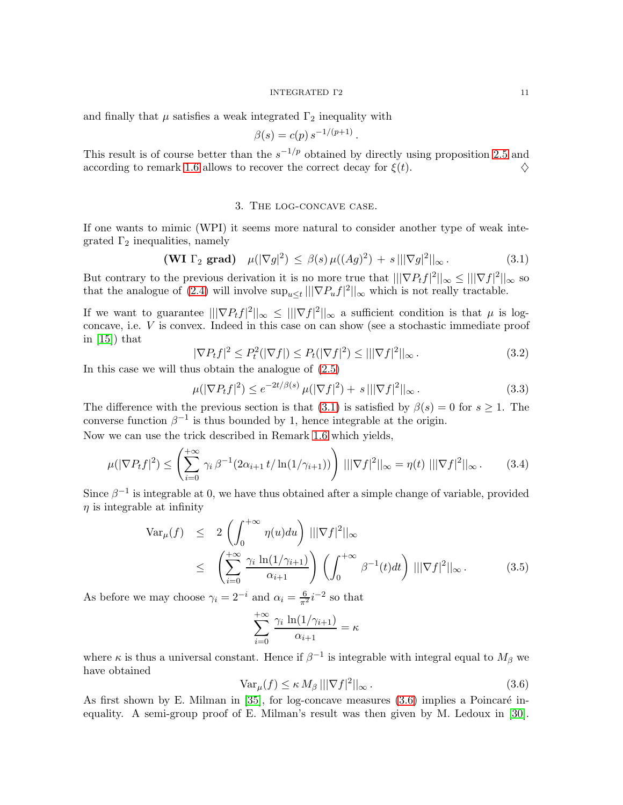#### INTEGRATED Γ2 11

and finally that  $\mu$  satisfies a weak integrated  $\Gamma_2$  inequality with

$$
\beta(s) = c(p) s^{-1/(p+1)}.
$$

<span id="page-10-0"></span>This result is of course better than the  $s^{-1/p}$  obtained by directly using proposition [2.5](#page-9-0) and according to remark [1.6](#page-4-2) allows to recover the correct decay for  $\xi(t)$ .

#### 3. The log-concave case.

If one wants to mimic (WPI) it seems more natural to consider another type of weak integrated  $\Gamma_2$  inequalities, namely

<span id="page-10-1"></span>
$$
(\mathbf{WI}\,\,\Gamma_2\,\,\mathbf{grad})\quad \mu(|\nabla g|^2)\,\leq\,\beta(s)\,\mu((Ag)^2)\,+\,s\,||\nabla g|^2||_{\infty}\,. \tag{3.1}
$$

But contrary to the previous derivation it is no more true that  $\|\nabla P_t f|^2\|_{\infty} \leq \|\nabla f|^2\|_{\infty}$  so that the analogue of [\(2.4\)](#page-7-1) will involve  $\sup_{u\leq t}|||\nabla P_u f|^2||_{\infty}$  which is not really tractable.

If we want to guarantee  $\frac{1}{|\nabla P_t f|^2||_{\infty}} \leq |||\nabla f|^2||_{\infty}$  a sufficient condition is that  $\mu$  is logconcave, i.e. V is convex. Indeed in this case on can show (see a stochastic immediate proof in  $[15]$  that

$$
|\nabla P_t f|^2 \le P_t^2 (|\nabla f|) \le P_t (|\nabla f|^2) \le |||\nabla f|^2||_{\infty}.
$$
\n(3.2)

In this case we will thus obtain the analogue of [\(2.5\)](#page-7-2)

$$
\mu(|\nabla P_t f|^2) \le e^{-2t/\beta(s)} \mu(|\nabla f|^2) + s |||\nabla f|^2||_{\infty}.
$$
\n(3.3)

The difference with the previous section is that [\(3.1\)](#page-10-1) is satisfied by  $\beta(s) = 0$  for  $s \geq 1$ . The converse function  $\beta^{-1}$  is thus bounded by 1, hence integrable at the origin.

Now we can use the trick described in Remark [1.6](#page-4-2) which yields,

$$
\mu(|\nabla P_t f|^2) \le \left(\sum_{i=0}^{+\infty} \gamma_i \beta^{-1} (2\alpha_{i+1} t/\ln(1/\gamma_{i+1}))\right) |||\nabla f|^2||_{\infty} = \eta(t) |||\nabla f|^2||_{\infty}.
$$
 (3.4)

Since  $\beta^{-1}$  is integrable at 0, we have thus obtained after a simple change of variable, provided  $\eta$  is integrable at infinity

$$
\operatorname{Var}_{\mu}(f) \leq 2 \left( \int_0^{+\infty} \eta(u) du \right) |||\nabla f|^2||_{\infty}
$$
  
 
$$
\leq \left( \sum_{i=0}^{+\infty} \frac{\gamma_i \ln(1/\gamma_{i+1})}{\alpha_{i+1}} \right) \left( \int_0^{+\infty} \beta^{-1}(t) dt \right) |||\nabla f|^2||_{\infty}. \tag{3.5}
$$

As before we may choose  $\gamma_i = 2^{-i}$  and  $\alpha_i = \frac{6}{\pi^2} i^{-2}$  so that

$$
\sum_{i=0}^{+\infty} \frac{\gamma_i \ln(1/\gamma_{i+1})}{\alpha_{i+1}} = \kappa
$$

where  $\kappa$  is thus a universal constant. Hence if  $\beta^{-1}$  is integrable with integral equal to  $M_{\beta}$  we have obtained

<span id="page-10-2"></span>
$$
\text{Var}_{\mu}(f) \le \kappa \, M_{\beta} \, |||\nabla f|^2||_{\infty} \, . \tag{3.6}
$$

As first shown by E. Milman in  $[35]$ , for log-concave measures  $(3.6)$  implies a Poincaré inequality. A semi-group proof of E. Milman's result was then given by M. Ledoux in [\[30\]](#page-31-10).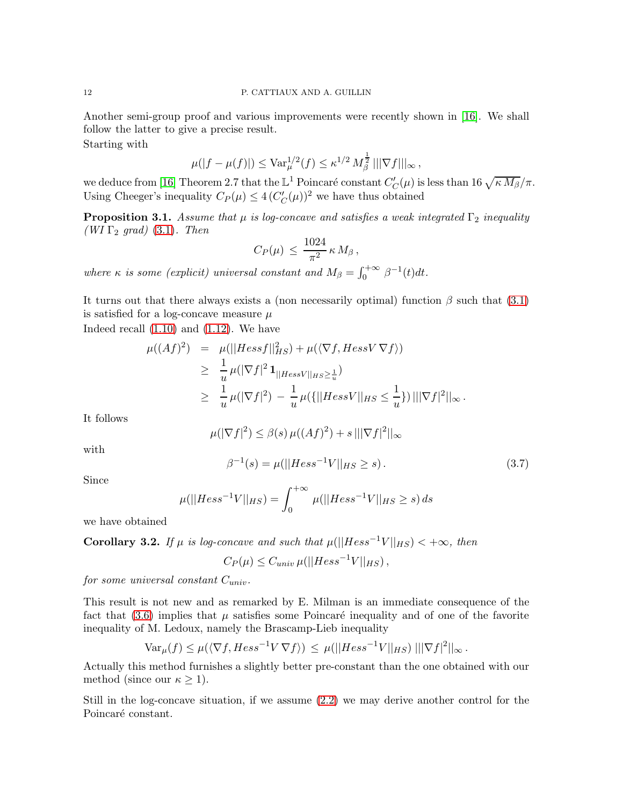Another semi-group proof and various improvements were recently shown in [\[16\]](#page-31-11). We shall follow the latter to give a precise result.

Starting with

$$
\mu(|f - \mu(f)|) \leq \text{Var}_{\mu}^{1/2}(f) \leq \kappa^{1/2} M_{\beta}^{\frac{1}{2}} |||\nabla f|||_{\infty},
$$

we deduce from [\[16\]](#page-31-11) Theorem 2.7 that the  $\mathbb{L}^1$  Poincaré constant  $C'_C(\mu)$  is less than 16  $\sqrt{\kappa M_\beta}/\pi$ . Using Cheeger's inequality  $C_P(\mu) \leq 4 (C'_C(\mu))^2$  we have thus obtained

<span id="page-11-2"></span>**Proposition 3.1.** Assume that  $\mu$  is log-concave and satisfies a weak integrated  $\Gamma_2$  inequality (WI  $\Gamma_2$  grad) [\(3.1\)](#page-10-1). Then

$$
C_P(\mu) \, \leq \, \frac{1024}{\pi^2} \,\kappa \, M_\beta \, ,
$$

where  $\kappa$  is some (explicit) universal constant and  $M_{\beta} = \int_0^{+\infty} \beta^{-1}(t) dt$ .

It turns out that there always exists a (non necessarily optimal) function  $\beta$  such that [\(3.1\)](#page-10-1) is satisfied for a log-concave measure  $\mu$ 

Indeed recall [\(1.10\)](#page-3-1) and [\(1.12\)](#page-3-0). We have

$$
\mu((Af)^2) = \mu(||Hessf||_{HS}^2) + \mu(\langle \nabla f, HessV \nabla f \rangle)
$$
  
\n
$$
\geq \frac{1}{u} \mu(|\nabla f|^2 \mathbf{1}_{||HessV||_{HS} \geq \frac{1}{u}})
$$
  
\n
$$
\geq \frac{1}{u} \mu(|\nabla f|^2) - \frac{1}{u} \mu(\{||HessV||_{HS} \leq \frac{1}{u}\}) |||\nabla f|^2||_{\infty}.
$$

It follows

$$
\mu(|\nabla f|^2) \le \beta(s)\,\mu((Af)^2) + s\,||\nabla f|^2||_{\infty}
$$

with

<span id="page-11-1"></span>
$$
\beta^{-1}(s) = \mu(||Hess^{-1}V||_{HS} \ge s).
$$
\n(3.7)

Since

$$
\mu(||Hess^{-1}V||_{HS}) = \int_0^{+\infty} \mu(||Hess^{-1}V||_{HS} \ge s) \, ds
$$

we have obtained

<span id="page-11-0"></span>Corollary 3.2. If  $\mu$  is log-concave and such that  $\mu(||Hess^{-1}V||_{HS}) < +\infty$ , then

 $C_P(\mu) \leq C_{univ} \,\mu(||Hess^{-1}V||_{HS}),$ 

for some universal constant  $C_{univ}$ .

This result is not new and as remarked by E. Milman is an immediate consequence of the fact that  $(3.6)$  implies that  $\mu$  satisfies some Poincaré inequality and of one of the favorite inequality of M. Ledoux, namely the Brascamp-Lieb inequality

$$
\text{Var}_{\mu}(f) \leq \mu(\langle \nabla f, Hess^{-1}V \nabla f \rangle) \leq \mu(||Hess^{-1}V||_{HS}) |||\nabla f|^2||_{\infty}.
$$

Actually this method furnishes a slightly better pre-constant than the one obtained with our method (since our  $\kappa \geq 1$ ).

Still in the log-concave situation, if we assume [\(2.2\)](#page-7-0) we may derive another control for the Poincaré constant.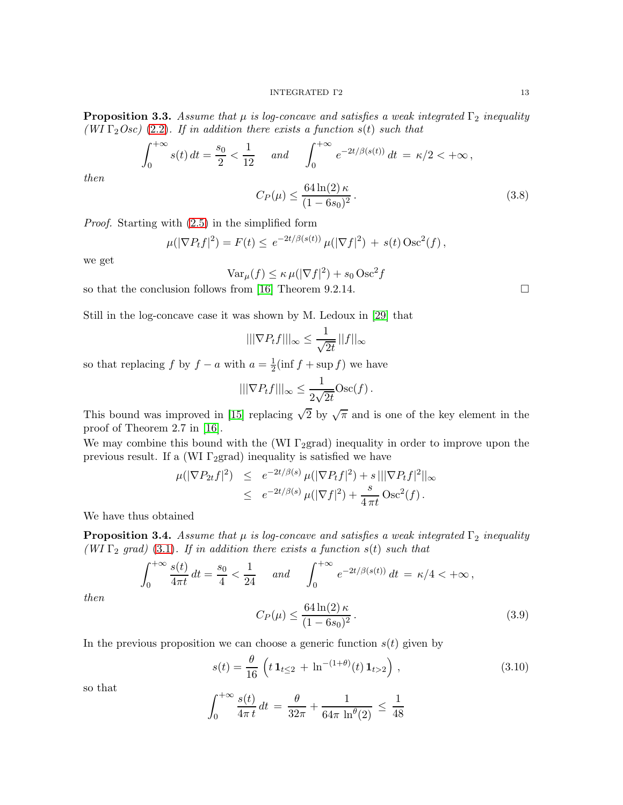#### INTEGRATED Γ2 13

**Proposition 3.3.** Assume that  $\mu$  is log-concave and satisfies a weak integrated  $\Gamma_2$  inequality (WI  $\Gamma_2Osc$ ) [\(2.2\)](#page-7-0). If in addition there exists a function  $s(t)$  such that

$$
\int_0^{+\infty} s(t) dt = \frac{s_0}{2} < \frac{1}{12} \quad \text{and} \quad \int_0^{+\infty} e^{-2t/\beta(s(t))} dt = \kappa/2 < +\infty,
$$

then

$$
C_P(\mu) \le \frac{64\ln(2)\kappa}{(1 - 6s_0)^2}.
$$
\n(3.8)

Proof. Starting with [\(2.5\)](#page-7-2) in the simplified form

$$
\mu(|\nabla P_t f|^2) = F(t) \le e^{-2t/\beta(s(t))} \mu(|\nabla f|^2) + s(t) \operatorname{Osc}^2(f),
$$

we get

$$
\text{Var}_{\mu}(f) \le \kappa \,\mu(|\nabla f|^2) + s_0 \,\text{Osc}^2 f
$$

so that the conclusion follows from [\[16\]](#page-31-11) Theorem 9.2.14.

Still in the log-concave case it was shown by M. Ledoux in [\[29\]](#page-31-12) that

$$
|||\nabla P_t f|||_{\infty} \le \frac{1}{\sqrt{2t}} ||f||_{\infty}
$$

so that replacing f by  $f - a$  with  $a = \frac{1}{2}$  $\frac{1}{2}(\inf f + \sup f)$  we have

$$
|||\nabla P_t f|||_{\infty} \leq \frac{1}{2\sqrt{2t}} \text{Osc}(f).
$$

This bound was improved in [\[15\]](#page-31-9) replacing  $\sqrt{2}$  by  $\sqrt{\pi}$  and is one of the key element in the proof of Theorem 2.7 in [\[16\]](#page-31-11).

We may combine this bound with the (WI  $\Gamma$ <sub>2</sub>grad) inequality in order to improve upon the previous result. If a (WI  $\Gamma$ <sub>2</sub>grad) inequality is satisfied we have

$$
\mu(|\nabla P_{2t}f|^2) \leq e^{-2t/\beta(s)} \mu(|\nabla P_t f|^2) + s |||\nabla P_t f|^2||_{\infty} \leq e^{-2t/\beta(s)} \mu(|\nabla f|^2) + \frac{s}{4 \pi t} \operatorname{Osc}^2(f).
$$

We have thus obtained

<span id="page-12-1"></span>**Proposition 3.4.** Assume that  $\mu$  is log-concave and satisfies a weak integrated  $\Gamma_2$  inequality (WI  $\Gamma_2$  grad) [\(3.1\)](#page-10-1). If in addition there exists a function  $s(t)$  such that

$$
\int_0^{+\infty} \frac{s(t)}{4\pi t} dt = \frac{s_0}{4} < \frac{1}{24} \quad \text{and} \quad \int_0^{+\infty} e^{-2t/\beta(s(t))} dt = \kappa/4 < +\infty \,,
$$

then

$$
C_P(\mu) \le \frac{64 \ln(2) \kappa}{(1 - 6s_0)^2}.
$$
\n(3.9)

In the previous proposition we can choose a generic function  $s(t)$  given by

<span id="page-12-0"></span>
$$
s(t) = \frac{\theta}{16} \left( t \, \mathbf{1}_{t \leq 2} + \ln^{-(1+\theta)}(t) \, \mathbf{1}_{t>2} \right) \,, \tag{3.10}
$$

so that

$$
\int_0^{+\infty} \frac{s(t)}{4\pi t} dt = \frac{\theta}{32\pi} + \frac{1}{64\pi \ln^{\theta}(2)} \le \frac{1}{48}
$$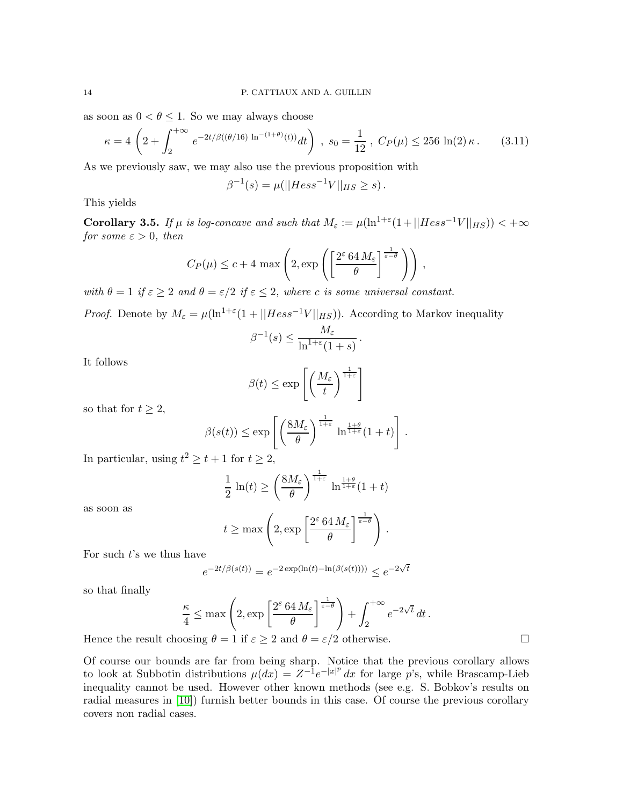as soon as  $0 < \theta \leq 1$ . So we may always choose

$$
\kappa = 4 \left( 2 + \int_2^{+\infty} e^{-2t/\beta((\theta/16) \ln^{-(1+\theta)}(t))} dt \right) , \ s_0 = \frac{1}{12} , \ C_P(\mu) \le 256 \ln(2) \kappa . \tag{3.11}
$$

As we previously saw, we may also use the previous proposition with

$$
\beta^{-1}(s) = \mu(||Hess^{-1}V||_{HS} \ge s).
$$

This yields

<span id="page-13-0"></span>Corollary 3.5. If  $\mu$  is log-concave and such that  $M_{\varepsilon} := \mu(\ln^{1+\varepsilon}(1+||Hess^{-1}V||_{HS})) < +\infty$ for some  $\varepsilon > 0$ , then

$$
C_P(\mu) \le c + 4 \max \left( 2, \exp \left( \left[ \frac{2^{\varepsilon} 64 M_{\varepsilon}}{\theta} \right]^{\frac{1}{\varepsilon - \theta}} \right) \right),
$$

with  $\theta = 1$  if  $\varepsilon \geq 2$  and  $\theta = \varepsilon/2$  if  $\varepsilon \leq 2$ , where c is some universal constant.

*Proof.* Denote by  $M_{\varepsilon} = \mu(\ln^{1+\varepsilon}(1+||Hess^{-1}V||_{HS}))$ . According to Markov inequality

$$
\beta^{-1}(s) \leq \frac{M_{\varepsilon}}{\ln^{1+\varepsilon}(1+s)}.
$$

It follows

$$
\beta(t) \le \exp\left[\left(\frac{M_{\varepsilon}}{t}\right)^{\frac{1}{1+\varepsilon}}\right]
$$

so that for  $t \geq 2$ ,

$$
\beta(s(t)) \le \exp\left[\left(\frac{8M_{\varepsilon}}{\theta}\right)^{\frac{1}{1+\varepsilon}} \ln^{\frac{1+\theta}{1+\varepsilon}}(1+t)\right].
$$

In particular, using  $t^2 \ge t+1$  for  $t \ge 2$ ,

$$
\frac{1}{2}\ln(t) \ge \left(\frac{8M_{\varepsilon}}{\theta}\right)^{\frac{1}{1+\varepsilon}}\ln^{\frac{1+\theta}{1+\varepsilon}}(1+t)
$$

as soon as

$$
t \ge \max \left( 2, \exp \left[ \frac{2^{\varepsilon} 64 M_{\varepsilon}}{\theta} \right] ^{\frac{1}{\varepsilon - \theta}} \right).
$$

For such  $t$ 's we thus have

$$
e^{-2t/\beta(s(t))} = e^{-2\exp(\ln(t) - \ln(\beta(s(t))))} \le e^{-2\sqrt{t}}
$$

so that finally

$$
\frac{\kappa}{4} \le \max\left(2, \exp\left[\frac{2^{\varepsilon} 64 M_{\varepsilon}}{\theta}\right]^{\frac{1}{\varepsilon-\theta}}\right) + \int_{2}^{+\infty} e^{-2\sqrt{t}} dt.
$$

Hence the result choosing  $\theta = 1$  if  $\varepsilon \geq 2$  and  $\theta = \varepsilon/2$  otherwise.

Of course our bounds are far from being sharp. Notice that the previous corollary allows to look at Subbotin distributions  $\mu(dx) = Z^{-1}e^{-|x|^p} dx$  for large p's, while Brascamp-Lieb inequality cannot be used. However other known methods (see e.g. S. Bobkov's results on radial measures in [\[10\]](#page-30-7)) furnish better bounds in this case. Of course the previous corollary covers non radial cases.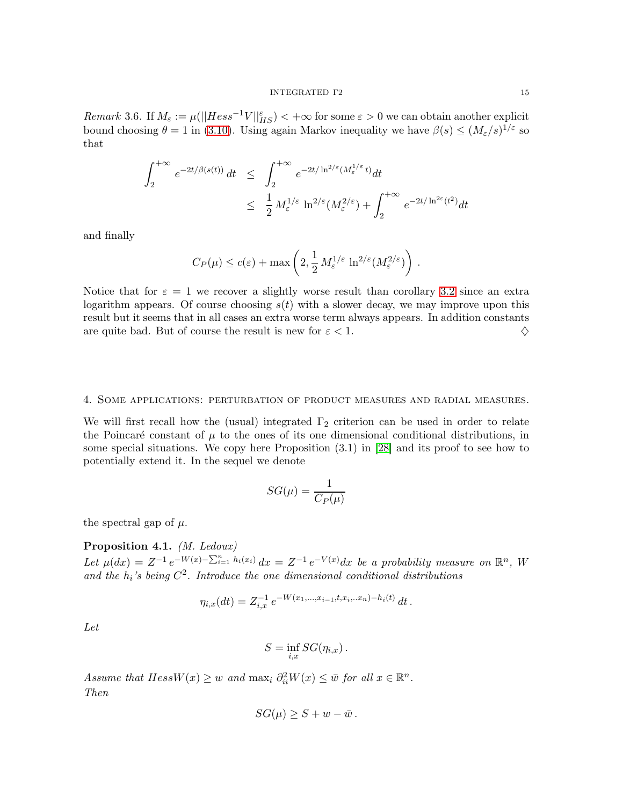Remark 3.6. If  $M_{\varepsilon} := \mu(||Hess^{-1}V||_{HS}^{\varepsilon}) < +\infty$  for some  $\varepsilon > 0$  we can obtain another explicit bound choosing  $\theta = 1$  in [\(3.10\)](#page-12-0). Using again Markov inequality we have  $\beta(s) \leq (M_{\varepsilon}/s)^{1/\varepsilon}$  so that

$$
\int_{2}^{+\infty} e^{-2t/\beta(s(t))} dt \leq \int_{2}^{+\infty} e^{-2t/\ln^{2/\varepsilon}(M_{\varepsilon}^{1/\varepsilon}t)} dt
$$
  

$$
\leq \frac{1}{2} M_{\varepsilon}^{1/\varepsilon} \ln^{2/\varepsilon}(M_{\varepsilon}^{2/\varepsilon}) + \int_{2}^{+\infty} e^{-2t/\ln^{2\varepsilon}(t^{2})} dt
$$

and finally

$$
C_P(\mu) \le c(\varepsilon) + \max\left(2, \frac{1}{2} M_{\varepsilon}^{1/\varepsilon} \ln^{2/\varepsilon}(M_{\varepsilon}^{2/\varepsilon})\right).
$$

Notice that for  $\varepsilon = 1$  we recover a slightly worse result than corollary [3.2](#page-11-0) since an extra logarithm appears. Of course choosing  $s(t)$  with a slower decay, we may improve upon this result but it seems that in all cases an extra worse term always appears. In addition constants are quite bad. But of course the result is new for  $\varepsilon < 1$ .

## <span id="page-14-0"></span>4. Some applications: perturbation of product measures and radial measures.

We will first recall how the (usual) integrated  $\Gamma_2$  criterion can be used in order to relate the Poincaré constant of  $\mu$  to the ones of its one dimensional conditional distributions, in some special situations. We copy here Proposition (3.1) in [\[28\]](#page-31-0) and its proof to see how to potentially extend it. In the sequel we denote

$$
SG(\mu) = \frac{1}{C_P(\mu)}
$$

the spectral gap of  $\mu$ .

## <span id="page-14-1"></span>Proposition 4.1. (M. Ledoux)

Let  $\mu(dx) = Z^{-1} e^{-W(x) - \sum_{i=1}^n h_i(x_i)} dx = Z^{-1} e^{-V(x)} dx$  be a probability measure on  $\mathbb{R}^n$ , W and the  $h_i$ 's being  $C^2$ . Introduce the one dimensional conditional distributions

$$
\eta_{i,x}(dt) = Z_{i,x}^{-1} e^{-W(x_1,\ldots,x_{i-1},t,x_i,\ldots x_n)-h_i(t)} dt.
$$

Let

$$
S = \inf_{i,x} SG(\eta_{i,x}).
$$

Assume that  $HessW(x) \geq w$  and  $\max_i \partial_{ii}^2 W(x) \leq \bar{w}$  for all  $x \in \mathbb{R}^n$ . Then

$$
SG(\mu) \geq S + w - \bar{w} \, .
$$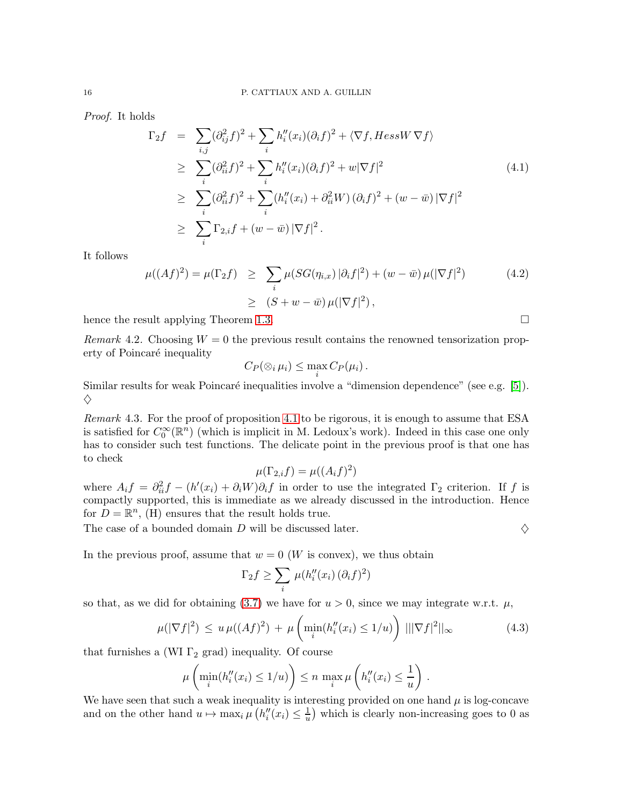Proof. It holds

$$
\Gamma_2 f = \sum_{i,j} (\partial_{ij}^2 f)^2 + \sum_i h_i''(x_i)(\partial_i f)^2 + \langle \nabla f, Hess W \nabla f \rangle
$$
  
\n
$$
\geq \sum_i (\partial_{ii}^2 f)^2 + \sum_i h_i''(x_i)(\partial_i f)^2 + w|\nabla f|^2
$$
  
\n
$$
\geq \sum_i (\partial_{ii}^2 f)^2 + \sum_i (h_i''(x_i) + \partial_{ii}^2 W)(\partial_i f)^2 + (w - \bar{w})|\nabla f|^2
$$
  
\n
$$
\geq \sum_i \Gamma_{2,i} f + (w - \bar{w})|\nabla f|^2.
$$
\n(4.1)

It follows

$$
\mu((Af)^2) = \mu(\Gamma_2 f) \ge \sum_i \mu(SG(\eta_{i,x})|\partial_i f|^2) + (w - \bar{w})\mu(|\nabla f|^2)
$$
(4.2)  

$$
\ge (S + w - \bar{w})\mu(|\nabla f|^2),
$$

hence the result applying Theorem [1.3.](#page-2-0)

Remark 4.2. Choosing  $W = 0$  the previous result contains the renowned tensorization property of Poincaré inequality

$$
C_P(\otimes_i \mu_i) \leq \max_i C_P(\mu_i).
$$

Similar results for weak Poincaré inequalities involve a "dimension dependence" (see e.g. [\[5\]](#page-30-8)).  $\Diamond$ 

Remark 4.3. For the proof of proposition [4.1](#page-14-1) to be rigorous, it is enough to assume that ESA is satisfied for  $C_0^{\infty}(\mathbb{R}^n)$  (which is implicit in M. Ledoux's work). Indeed in this case one only has to consider such test functions. The delicate point in the previous proof is that one has to check

$$
\mu(\Gamma_{2,i}f) = \mu((A_i f)^2)
$$

where  $A_i f = \partial_{ii}^2 f - (h'(x_i) + \partial_i W) \partial_i f$  in order to use the integrated  $\Gamma_2$  criterion. If f is compactly supported, this is immediate as we already discussed in the introduction. Hence for  $D = \mathbb{R}^n$ , (H) ensures that the result holds true.

The case of a bounded domain D will be discussed later.  $\Diamond$ 

In the previous proof, assume that  $w = 0$  (W is convex), we thus obtain

$$
\Gamma_2 f \ge \sum_i \mu(h_i''(x_i) \, (\partial_i f)^2)
$$

so that, as we did for obtaining [\(3.7\)](#page-11-1) we have for  $u > 0$ , since we may integrate w.r.t.  $\mu$ ,

$$
\mu(|\nabla f|^2) \le u \,\mu((Af)^2) + \mu\left(\min_i(h_i''(x_i) \le 1/u)\right) \, |||\nabla f|^2||_{\infty} \tag{4.3}
$$

that furnishes a (WI  $\Gamma_2$  grad) inequality. Of course

$$
\mu\left(\min_i(h_i''(x_i)\leq 1/u)\right)\leq n\,\max_i\mu\left(h_i''(x_i)\leq \frac{1}{u}\right)\,.
$$

We have seen that such a weak inequality is interesting provided on one hand  $\mu$  is log-concave and on the other hand  $u \mapsto \max_i \mu\left(h''_i(x_i) \leq \frac{1}{u}\right)$  $\frac{1}{u}$ ) which is clearly non-increasing goes to 0 as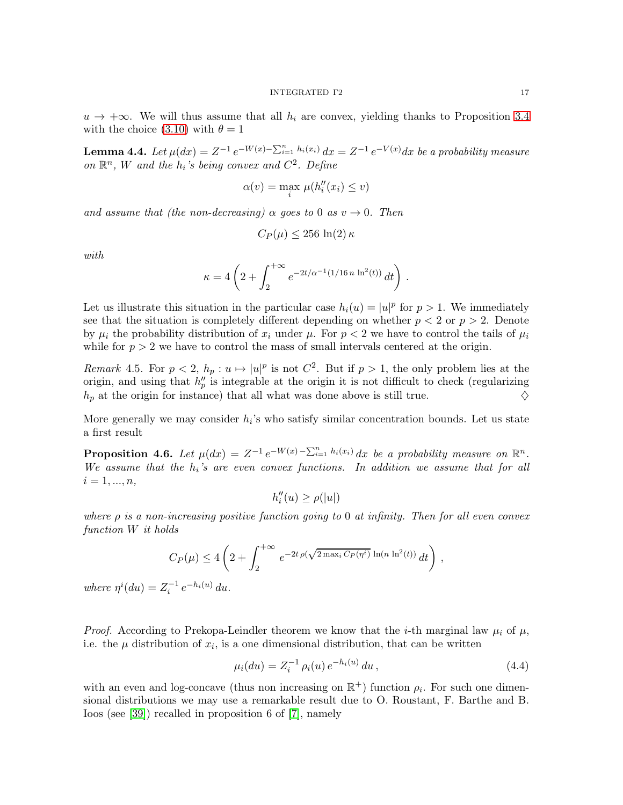$u \rightarrow +\infty$ . We will thus assume that all  $h_i$  are convex, yielding thanks to Proposition [3.4](#page-12-1) with the choice [\(3.10\)](#page-12-0) with  $\theta = 1$ 

<span id="page-16-0"></span>**Lemma 4.4.** Let  $\mu(dx) = Z^{-1} e^{-W(x) - \sum_{i=1}^{n} h_i(x_i)} dx = Z^{-1} e^{-V(x)} dx$  be a probability measure on  $\mathbb{R}^n$ , W and the  $h_i$ 's being convex and  $C^2$ . Define

$$
\alpha(v) = \max_{i} \mu(h''_i(x_i) \le v)
$$

and assume that (the non-decreasing)  $\alpha$  goes to 0 as  $v \to 0$ . Then

$$
C_P(\mu) \le 256 \ln(2) \kappa
$$

with

$$
\kappa = 4 \left( 2 + \int_2^{+\infty} e^{-2t/\alpha^{-1}(1/16 n \ln^2(t))} dt \right).
$$

Let us illustrate this situation in the particular case  $h_i(u) = |u|^p$  for  $p > 1$ . We immediately see that the situation is completely different depending on whether  $p < 2$  or  $p > 2$ . Denote by  $\mu_i$  the probability distribution of  $x_i$  under  $\mu$ . For  $p < 2$  we have to control the tails of  $\mu_i$ while for  $p > 2$  we have to control the mass of small intervals centered at the origin.

Remark 4.5. For  $p < 2$ ,  $h_p : u \mapsto |u|^p$  is not  $C^2$ . But if  $p > 1$ , the only problem lies at the origin, and using that  $h_p''$  is integrable at the origin it is not difficult to check (regularizing  $h_p$  at the origin for instance) that all what was done above is still true.  $\diamondsuit$ 

More generally we may consider  $h_i$ 's who satisfy similar concentration bounds. Let us state a first result

<span id="page-16-2"></span>**Proposition 4.6.** Let  $\mu(dx) = Z^{-1} e^{-W(x) - \sum_{i=1}^{n} h_i(x_i)} dx$  be a probability measure on  $\mathbb{R}^n$ . We assume that the  $h_i$ 's are even convex functions. In addition we assume that for all  $i = 1, ..., n,$ 

$$
h_i''(u) \ge \rho(|u|)
$$

where  $\rho$  is a non-increasing positive function going to 0 at infinity. Then for all even convex function W it holds

$$
C_P(\mu) \le 4\left(2 + \int_2^{+\infty} e^{-2t \rho(\sqrt{2 \max_i C_P(\eta^i)} \ln(n \ln^2(t))} dt\right),
$$
  
<sub>-1, -h:(u), l</sub>

where  $\eta^{i}(du) = Z_{i}^{-1} e^{-h_{i}(u)} du$ .

*Proof.* According to Prekopa-Leindler theorem we know that the *i*-th marginal law  $\mu_i$  of  $\mu$ , i.e. the  $\mu$  distribution of  $x_i$ , is a one dimensional distribution, that can be written

<span id="page-16-1"></span>
$$
\mu_i(du) = Z_i^{-1} \rho_i(u) e^{-h_i(u)} du , \qquad (4.4)
$$

with an even and log-concave (thus non increasing on  $\mathbb{R}^+$ ) function  $\rho_i$ . For such one dimensional distributions we may use a remarkable result due to O. Roustant, F. Barthe and B. Ioos (see [\[39\]](#page-32-0)) recalled in proposition 6 of [\[7\]](#page-30-6), namely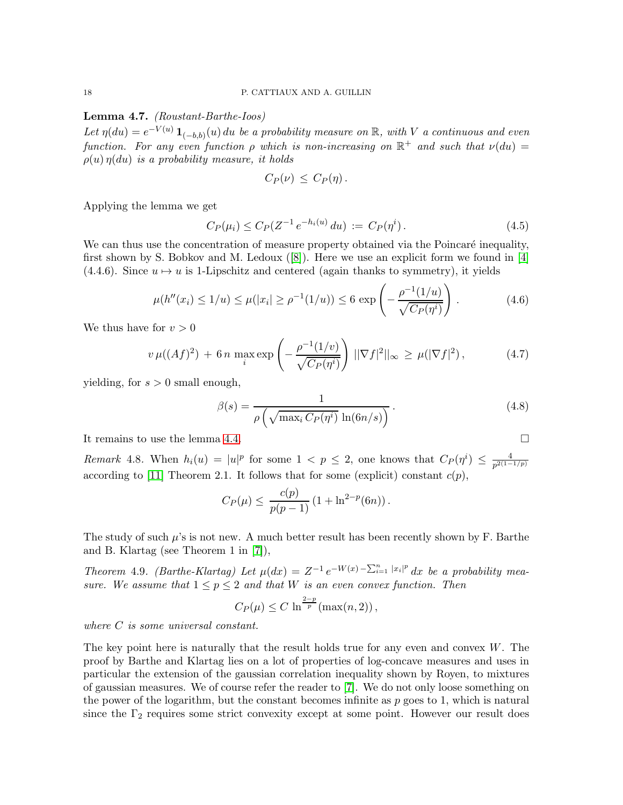## Lemma 4.7. (Roustant-Barthe-Ioos)

Let  $\eta(du) = e^{-V(u)} \mathbf{1}_{(-b,b)}(u) du$  be a probability measure on  $\mathbb{R}$ , with V a continuous and even function. For any even function  $\rho$  which is non-increasing on  $\mathbb{R}^+$  and such that  $\nu(du) =$  $\rho(u)\eta(du)$  is a probability measure, it holds

$$
C_P(\nu)\,\leq\,C_P(\eta)\,.
$$

Applying the lemma we get

$$
C_P(\mu_i) \le C_P(Z^{-1}e^{-h_i(u)} du) := C_P(\eta^i).
$$
\n(4.5)

We can thus use the concentration of measure property obtained via the Poincaré inequality, first shown by S. Bobkov and M. Ledoux([\[8\]](#page-30-9)). Here we use an explicit form we found in [\[4\]](#page-30-1) (4.4.6). Since  $u \mapsto u$  is 1-Lipschitz and centered (again thanks to symmetry), it yields

$$
\mu(h''(x_i) \le 1/u) \le \mu(|x_i| \ge \rho^{-1}(1/u)) \le 6 \exp\left(-\frac{\rho^{-1}(1/u)}{\sqrt{C_P(\eta^i)}}\right). \tag{4.6}
$$

We thus have for  $v > 0$ 

$$
v \,\mu((Af)^2) + 6n \, \max_{i} \exp\left(-\frac{\rho^{-1}(1/v)}{\sqrt{C_P(\eta^i)}}\right) \, ||\nabla f|^2||_{\infty} \ge \mu(|\nabla f|^2),\tag{4.7}
$$

yielding, for  $s > 0$  small enough,

$$
\beta(s) = \frac{1}{\rho\left(\sqrt{\max_i C_P(\eta^i)} \ln(6n/s)\right)}.
$$
\n(4.8)

It remains to use the lemma [4.4.](#page-16-0)

Remark 4.8. When  $h_i(u) = |u|^p$  for some  $1 < p \leq 2$ , one knows that  $C_P(\eta^i) \leq \frac{4}{p^{2(1-p)}}$  $p^{2(1-1/p)}$ according to [\[11\]](#page-30-10) Theorem 2.1. It follows that for some (explicit) constant  $c(p)$ ,

$$
C_P(\mu) \le \frac{c(p)}{p(p-1)} \left(1 + \ln^{2-p}(6n)\right).
$$

The study of such  $\mu$ 's is not new. A much better result has been recently shown by F. Barthe and B. Klartag (see Theorem 1 in [\[7\]](#page-30-6)),

Theorem 4.9. (Barthe-Klartag) Let  $\mu(dx) = Z^{-1} e^{-W(x) - \sum_{i=1}^{n} |x_i|^p} dx$  be a probability measure. We assume that  $1 \leq p \leq 2$  and that W is an even convex function. Then

$$
C_P(\mu) \le C \ln^{\frac{2-p}{p}}(\max(n, 2)),
$$

where C is some universal constant.

The key point here is naturally that the result holds true for any even and convex  $W$ . The proof by Barthe and Klartag lies on a lot of properties of log-concave measures and uses in particular the extension of the gaussian correlation inequality shown by Royen, to mixtures of gaussian measures. We of course refer the reader to [\[7\]](#page-30-6). We do not only loose something on the power of the logarithm, but the constant becomes infinite as  $p$  goes to 1, which is natural since the  $\Gamma_2$  requires some strict convexity except at some point. However our result does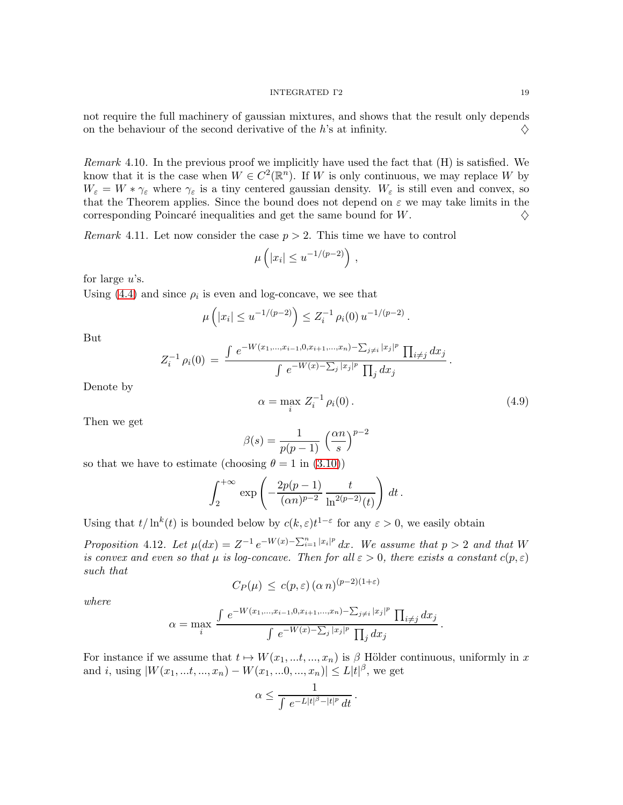not require the full machinery of gaussian mixtures, and shows that the result only depends on the behaviour of the second derivative of the h's at infinity.  $\diamond$ 

*Remark* 4.10. In the previous proof we implicitly have used the fact that  $(H)$  is satisfied. We know that it is the case when  $W \in C^2(\mathbb{R}^n)$ . If W is only continuous, we may replace W by  $W_{\varepsilon} = W * \gamma_{\varepsilon}$  where  $\gamma_{\varepsilon}$  is a tiny centered gaussian density.  $W_{\varepsilon}$  is still even and convex, so that the Theorem applies. Since the bound does not depend on  $\varepsilon$  we may take limits in the corresponding Poincaré inequalities and get the same bound for  $W$ .  $\diamondsuit$ 

Remark 4.11. Let now consider the case  $p > 2$ . This time we have to control

$$
\mu\left(|x_i| \leq u^{-1/(p-2)}\right),\,
$$

for large  $u$ 's.

Using [\(4.4\)](#page-16-1) and since  $\rho_i$  is even and log-concave, we see that

$$
\mu\left(|x_i| \le u^{-1/(p-2)}\right) \le Z_i^{-1} \,\rho_i(0) \, u^{-1/(p-2)} \, .
$$

But

$$
Z_i^{-1} \rho_i(0) = \frac{\int e^{-W(x_1,\ldots,x_{i-1},0,x_{i+1},\ldots,x_n) - \sum_{j\neq i} |x_j|^p} \prod_{i\neq j} dx_j}{\int e^{-W(x) - \sum_j |x_j|^p} \prod_j dx_j}.
$$

Denote by

$$
\alpha = \max_{i} Z_i^{-1} \rho_i(0). \tag{4.9}
$$

.

Then we get

$$
\beta(s) = \frac{1}{p(p-1)} \left(\frac{\alpha n}{s}\right)^{p-2}
$$

so that we have to estimate (choosing  $\theta = 1$  in [\(3.10\)](#page-12-0))

$$
\int_{2}^{+\infty} \exp\left(-\frac{2p(p-1)}{(\alpha n)^{p-2}} \frac{t}{\ln^{2(p-2)}(t)}\right) dt.
$$

Using that  $t/\ln^{k}(t)$  is bounded below by  $c(k, \varepsilon)t^{1-\varepsilon}$  for any  $\varepsilon > 0$ , we easily obtain

<span id="page-18-0"></span>Proposition 4.12. Let  $\mu(dx) = Z^{-1} e^{-W(x) - \sum_{i=1}^{n} |x_i|^p} dx$ . We assume that  $p > 2$  and that W is convex and even so that  $\mu$  is log-concave. Then for all  $\varepsilon > 0$ , there exists a constant  $c(p, \varepsilon)$ such that

$$
C_P(\mu) \le c(p,\varepsilon) (\alpha n)^{(p-2)(1+\varepsilon)}
$$

where

$$
\alpha = \max_{i} \frac{\int e^{-W(x_1,...,x_{i-1},0,x_{i+1},...,x_n) - \sum_{j\neq i} |x_j|^p} \prod_{i\neq j} dx_j}{\int e^{-W(x) - \sum_j |x_j|^p} \prod_j dx_j}
$$

For instance if we assume that  $t \mapsto W(x_1, \ldots, x_n)$  is  $\beta$  Hölder continuous, uniformly in x and *i*, using  $|W(x_1, ...t, ..., x_n) - W(x_1, ...0, ..., x_n)| \leq L|t|^{\beta}$ , we get

$$
\alpha \leq \frac{1}{\int e^{-L|t|^{\beta}-|t|^p} dt}.
$$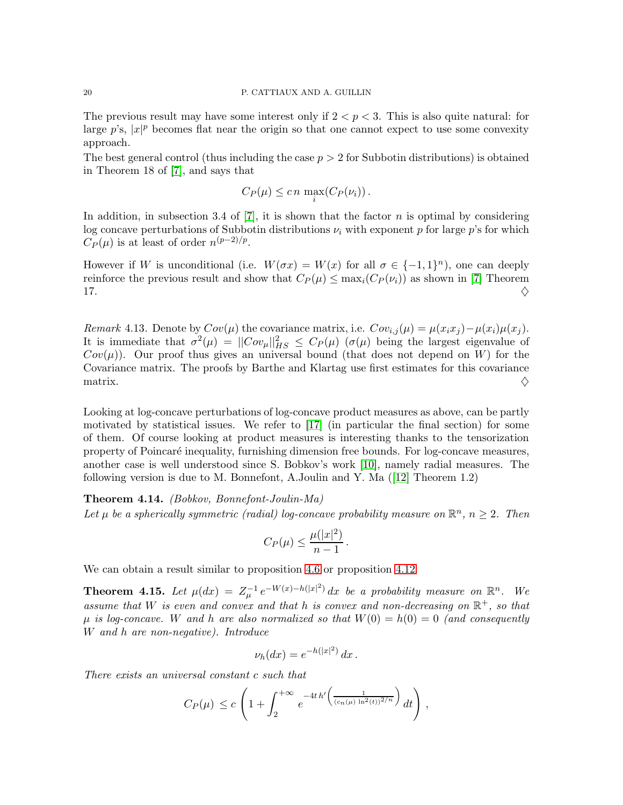#### 20 P. CATTIAUX AND A. GUILLIN

The previous result may have some interest only if  $2 < p < 3$ . This is also quite natural: for large  $p$ 's,  $|x|^p$  becomes flat near the origin so that one cannot expect to use some convexity approach.

The best general control (thus including the case  $p > 2$  for Subbotin distributions) is obtained in Theorem 18 of [\[7\]](#page-30-6), and says that

$$
C_P(\mu) \leq c n \max_i (C_P(\nu_i)).
$$

In addition, in subsection 3.4 of  $[7]$ , it is shown that the factor n is optimal by considering log concave perturbations of Subbotin distributions  $\nu_i$  with exponent p for large p's for which  $C_P(\mu)$  is at least of order  $n^{(p-2)/p}$ .

However if W is unconditional (i.e.  $W(\sigma x) = W(x)$  for all  $\sigma \in \{-1,1\}^n$ ), one can deeply reinforce the previous result and show that  $C_P(\mu) \le \max_i (C_P(\nu_i))$  as shown in [\[7\]](#page-30-6) Theorem 17. 17.  $\Diamond$ 

Remark 4.13. Denote by  $Cov(\mu)$  the covariance matrix, i.e.  $Cov_{i,j}(\mu) = \mu(x_i x_j) - \mu(x_i)\mu(x_j)$ . It is immediate that  $\sigma^2(\mu) = ||Cov_\mu||_{HS}^2 \leq C_P(\mu)$  ( $\sigma(\mu)$  being the largest eigenvalue of  $Cov(\mu)$ . Our proof thus gives an universal bound (that does not depend on W) for the Covariance matrix. The proofs by Barthe and Klartag use first estimates for this covariance matrix.  $\diamond$ 

Looking at log-concave perturbations of log-concave product measures as above, can be partly motivated by statistical issues. We refer to [\[17\]](#page-31-7) (in particular the final section) for some of them. Of course looking at product measures is interesting thanks to the tensorization property of Poincaré inequality, furnishing dimension free bounds. For log-concave measures, another case is well understood since S. Bobkov's work [\[10\]](#page-30-7), namely radial measures. The following version is due to M. Bonnefont, A.Joulin and Y. Ma([\[12\]](#page-30-11) Theorem 1.2)

## Theorem 4.14. (Bobkov, Bonnefont-Joulin-Ma)

Let  $\mu$  be a spherically symmetric (radial) log-concave probability measure on  $\mathbb{R}^n$ ,  $n \geq 2$ . Then

$$
C_P(\mu) \le \frac{\mu(|x|^2)}{n-1}.
$$

We can obtain a result similar to proposition [4.6](#page-16-2) or proposition [4.12](#page-18-0)

**Theorem 4.15.** Let  $\mu(dx) = Z_{\mu}^{-1} e^{-W(x)-h(|x|^2)} dx$  be a probability measure on  $\mathbb{R}^n$ . We assume that W is even and convex and that h is convex and non-decreasing on  $\mathbb{R}^+$ , so that  $\mu$  is log-concave. W and h are also normalized so that  $W(0) = h(0) = 0$  (and consequently W and h are non-negative). Introduce

$$
\nu_h(dx) = e^{-h(|x|^2)} dx.
$$

There exists an universal constant c such that

$$
C_P(\mu) \le c \left( 1 + \int_2^{+\infty} e^{-4t h' \left( \frac{1}{(c_n(\mu) \ln^2(t))^2/n} \right)} dt \right),
$$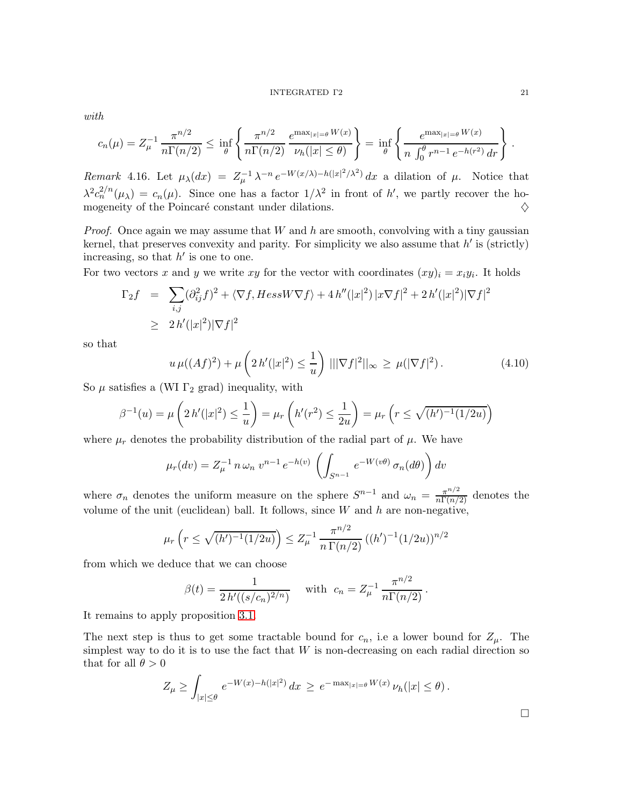#### INTEGRATED Γ2 21

with

$$
c_n(\mu) = Z_{\mu}^{-1} \frac{\pi^{n/2}}{n\Gamma(n/2)} \leq \inf_{\theta} \left\{ \frac{\pi^{n/2}}{n\Gamma(n/2)} \frac{e^{\max_{|x|=\theta} W(x)}}{\nu_h(|x| \leq \theta)} \right\} = \inf_{\theta} \left\{ \frac{e^{\max_{|x|=\theta} W(x)}}{n \int_0^{\theta} r^{n-1} e^{-h(r^2)} dr} \right\}.
$$

Remark 4.16. Let  $\mu_{\lambda}(dx) = Z_{\mu}^{-1} \lambda^{-n} e^{-W(x/\lambda) - h(|x|^2/\lambda^2)} dx$  a dilation of  $\mu$ . Notice that  $\lambda^2 c_n^{2/n}(\mu_{\lambda}) = c_n(\mu)$ . Since one has a factor  $1/\lambda^2$  in front of h', we partly recover the homogeneity of the Poincaré constant under dilations.  $\Diamond$ 

*Proof.* Once again we may assume that  $W$  and  $h$  are smooth, convolving with a tiny gaussian kernel, that preserves convexity and parity. For simplicity we also assume that  $h'$  is (strictly) increasing, so that  $h'$  is one to one.

For two vectors x and y we write xy for the vector with coordinates  $(xy)_i = x_i y_i$ . It holds

$$
\Gamma_2 f = \sum_{i,j} (\partial_{ij}^2 f)^2 + \langle \nabla f, Hess W \nabla f \rangle + 4 h''(|x|^2) |x \nabla f|^2 + 2 h'(|x|^2) |\nabla f|^2
$$
  
\n
$$
\geq 2 h'(|x|^2) |\nabla f|^2
$$

so that

$$
u \,\mu((Af)^2) + \mu\left(2h'(|x|^2) \le \frac{1}{u}\right) \, |||\nabla f|^2||_{\infty} \ge \mu(|\nabla f|^2). \tag{4.10}
$$

So  $\mu$  satisfies a (WI  $\Gamma_2$  grad) inequality, with

$$
\beta^{-1}(u) = \mu\left(2h'(|x|^2) \le \frac{1}{u}\right) = \mu_r\left(h'(r^2) \le \frac{1}{2u}\right) = \mu_r\left(r \le \sqrt{(h')^{-1}(1/2u)}\right)
$$

where  $\mu_r$  denotes the probability distribution of the radial part of  $\mu$ . We have

$$
\mu_r(dv) = Z_{\mu}^{-1} n \omega_n v^{n-1} e^{-h(v)} \left( \int_{S^{n-1}} e^{-W(v\theta)} \sigma_n(d\theta) \right) dv
$$

where  $\sigma_n$  denotes the uniform measure on the sphere  $S^{n-1}$  and  $\omega_n = \frac{\pi^{n/2}}{n \Gamma(n/2)}$  denotes the volume of the unit (euclidean) ball. It follows, since  $W$  and  $h$  are non-negative,

$$
\mu_r\left(r \le \sqrt{(h')^{-1}(1/2u)}\right) \le Z_{\mu}^{-1} \frac{\pi^{n/2}}{n \Gamma(n/2)} \left((h')^{-1}(1/2u)\right)^{n/2}
$$

from which we deduce that we can choose

$$
\beta(t) = \frac{1}{2 h'((s/c_n)^{2/n})} \quad \text{ with } \ c_n = Z_{\mu}^{-1} \frac{\pi^{n/2}}{n \Gamma(n/2)}.
$$

It remains to apply proposition [3.1.](#page-11-2)

The next step is thus to get some tractable bound for  $c_n$ , i.e a lower bound for  $Z_\mu$ . The simplest way to do it is to use the fact that  $W$  is non-decreasing on each radial direction so that for all  $\theta > 0$ 

$$
Z_{\mu} \ge \int_{|x| \le \theta} e^{-W(x) - h(|x|^2)} dx \ge e^{-\max_{|x| = \theta} W(x)} \nu_h(|x| \le \theta).
$$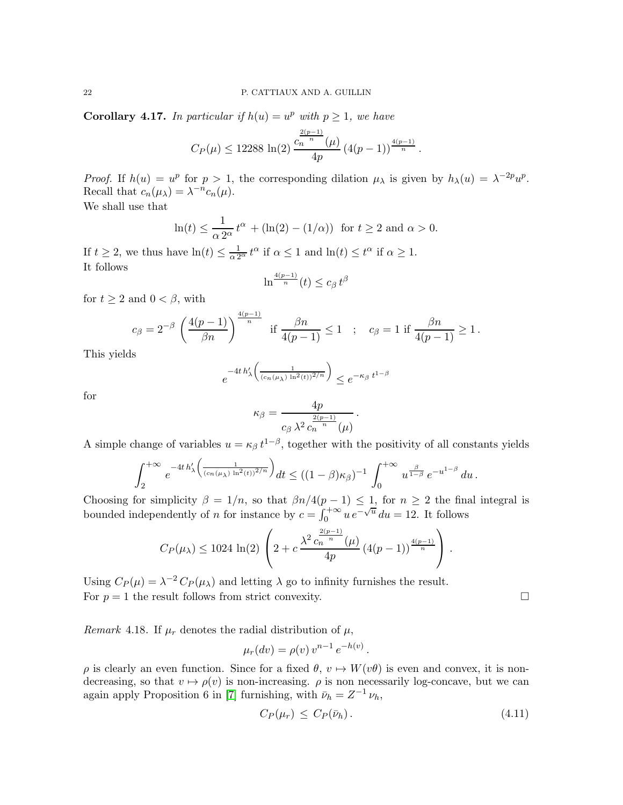<span id="page-21-0"></span>**Corollary 4.17.** In particular if  $h(u) = u^p$  with  $p \ge 1$ , we have

$$
C_P(\mu) \le 12288 \ln(2) \frac{c_n^{\frac{2(p-1)}{n}}(\mu)}{4p} \left(4(p-1)\right)^{\frac{4(p-1)}{n}}.
$$

Proof. If  $h(u) = u^p$  for  $p > 1$ , the corresponding dilation  $\mu_\lambda$  is given by  $h_\lambda(u) = \lambda^{-2p} u^p$ . Recall that  $c_n(\mu_\lambda) = \lambda^{-n} c_n(\mu)$ .

We shall use that

$$
\ln(t) \le \frac{1}{\alpha 2^{\alpha}} t^{\alpha} + (\ln(2) - (1/\alpha)) \text{ for } t \ge 2 \text{ and } \alpha > 0.
$$

If  $t \geq 2$ , we thus have  $\ln(t) \leq \frac{1}{\alpha 2^{\alpha}} t^{\alpha}$  if  $\alpha \leq 1$  and  $\ln(t) \leq t^{\alpha}$  if  $\alpha \geq 1$ . It follows

$$
\ln^{\frac{4(p-1)}{n}}(t) \le c_\beta t^\beta
$$

for  $t \geq 2$  and  $0 < \beta$ , with

$$
c_{\beta} = 2^{-\beta} \left(\frac{4(p-1)}{\beta n}\right)^{\frac{4(p-1)}{n}} \text{ if } \frac{\beta n}{4(p-1)} \le 1 \quad ; \quad c_{\beta} = 1 \text{ if } \frac{\beta n}{4(p-1)} \ge 1 \, .
$$

This yields

$$
e^{-4t\,h'_\lambda\left(\frac{1}{(c_n(\mu_\lambda)\,\ln^2(t))^2/n}\right)} \leq e^{-\kappa_\beta\,t^{1-\beta}}
$$

for

$$
\kappa_{\beta} = \frac{4p}{c_{\beta} \lambda^2 c_n^{\frac{2(p-1)}{n}}(\mu)}.
$$

A simple change of variables  $u = \kappa_{\beta} t^{1-\beta}$ , together with the positivity of all constants yields

$$
\int_{2}^{+\infty} e^{-4t h'_{\lambda} \left( \frac{1}{(c_n(\mu_{\lambda}) \ln^2(t))^{2/n}} \right)} dt \le ((1-\beta)\kappa_{\beta})^{-1} \int_{0}^{+\infty} u^{\frac{\beta}{1-\beta}} e^{-u^{1-\beta}} du.
$$

Choosing for simplicity  $\beta = 1/n$ , so that  $\beta n/4(p-1) \leq 1$ , for  $n \geq 2$  the final integral is bounded independently of n for instance by  $c = \int_0^{+\infty} u e^{-\sqrt{u}} du = 12$ . It follows

$$
C_P(\mu_{\lambda}) \le 1024 \ln(2) \left(2 + c \frac{\lambda^2 c_n^{\frac{2(p-1)}{n}}(\mu)}{4p} (4(p-1))^{\frac{4(p-1)}{n}} \right).
$$

Using  $C_P(\mu) = \lambda^{-2} C_P(\mu_\lambda)$  and letting  $\lambda$  go to infinity furnishes the result. For  $p = 1$  the result follows from strict convexity.

Remark 4.18. If  $\mu_r$  denotes the radial distribution of  $\mu$ ,

$$
\mu_r(dv) = \rho(v) v^{n-1} e^{-h(v)}.
$$

 $ρ$  is clearly an even function. Since for a fixed  $θ$ ,  $v \mapsto W(vθ)$  is even and convex, it is nondecreasing, so that  $v \mapsto \rho(v)$  is non-increasing.  $\rho$  is non necessarily log-concave, but we can again apply Proposition 6 in [\[7\]](#page-30-6) furnishing, with  $\bar{\nu}_h = Z^{-1} \nu_h$ ,

$$
C_P(\mu_r) \le C_P(\bar{\nu}_h). \tag{4.11}
$$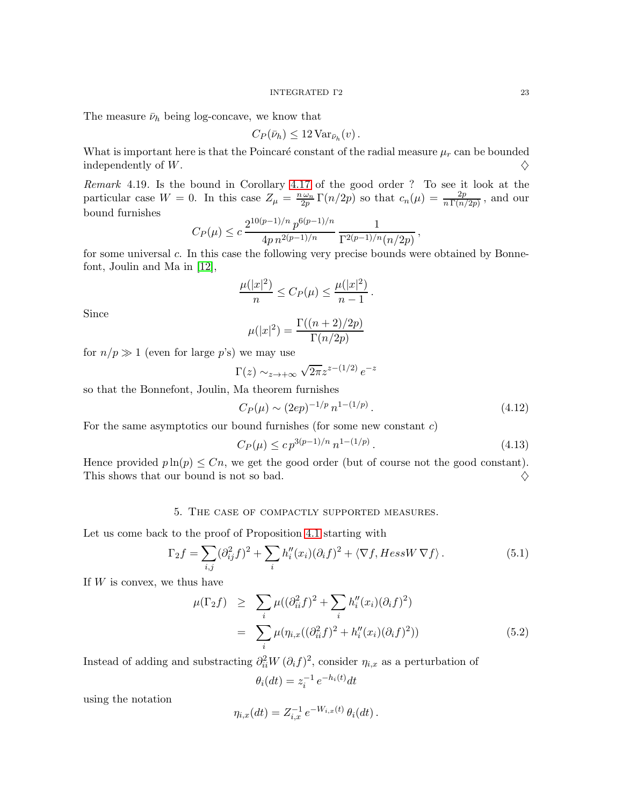#### INTEGRATED Γ2 23

The measure  $\bar{\nu}_h$  being log-concave, we know that

$$
C_P(\bar{\nu}_h) \leq 12 \operatorname{Var}_{\bar{\nu}_h}(v).
$$

What is important here is that the Poincaré constant of the radial measure  $\mu_r$  can be bounded independently of  $W$ .

Remark 4.19. Is the bound in Corollary [4.17](#page-21-0) of the good order ? To see it look at the particular case  $W = 0$ . In this case  $Z_{\mu} = \frac{n \omega_n}{2p} \Gamma(n/2p)$  so that  $c_n(\mu) = \frac{2p}{n \Gamma(n/2p)}$ , and our bound furnishes  $\frac{1}{2}$ 

$$
C_P(\mu) \le c \, \frac{2^{10(p-1)/n} \, p^{6(p-1)/n}}{4p \, n^{2(p-1)/n}} \, \frac{1}{\Gamma^{2(p-1)/n}(n/2p)},
$$

for some universal c. In this case the following very precise bounds were obtained by Bonnefont, Joulin and Ma in [\[12\]](#page-30-11),

$$
\frac{\mu(|x|^2)}{n} \le C_P(\mu) \le \frac{\mu(|x|^2)}{n-1}.
$$

Since

$$
\mu(|x|^2) = \frac{\Gamma((n+2)/2p)}{\Gamma(n/2p)}
$$

for  $n/p \gg 1$  (even for large p's) we may use

$$
\Gamma(z) \sim_{z \to +\infty} \sqrt{2\pi} z^{z - (1/2)} e^{-z}
$$

so that the Bonnefont, Joulin, Ma theorem furnishes

$$
C_P(\mu) \sim (2ep)^{-1/p} n^{1-(1/p)}.
$$
\n(4.12)

For the same asymptotics our bound furnishes (for some new constant  $c$ )

$$
C_P(\mu) \le c p^{3(p-1)/n} n^{1 - (1/p)}.
$$
\n(4.13)

Hence provided  $p \ln(p) \leq Cn$ , we get the good order (but of course not the good constant).<br>This shows that our bound is not so bad. This shows that our bound is not so bad.

## 5. The case of compactly supported measures.

Let us come back to the proof of Proposition [4.1](#page-14-1) starting with

$$
\Gamma_2 f = \sum_{i,j} (\partial_{ij}^2 f)^2 + \sum_i h_i''(x_i) (\partial_i f)^2 + \langle \nabla f, Hess W \nabla f \rangle.
$$
 (5.1)

If  $W$  is convex, we thus have

$$
\mu(\Gamma_2 f) \geq \sum_i \mu((\partial_{ii}^2 f)^2 + \sum_i h_i''(x_i)(\partial_i f)^2) \n= \sum_i \mu(\eta_{i,x}((\partial_{ii}^2 f)^2 + h_i''(x_i)(\partial_i f)^2))
$$
\n(5.2)

Instead of adding and substracting  $\partial_i^2 W(\partial_i f)^2$ , consider  $\eta_{i,x}$  as a perturbation of

$$
\theta_i(dt) = z_i^{-1} e^{-h_i(t)} dt
$$

using the notation

$$
\eta_{i,x}(dt) = Z_{i,x}^{-1} e^{-W_{i,x}(t)} \theta_i(dt).
$$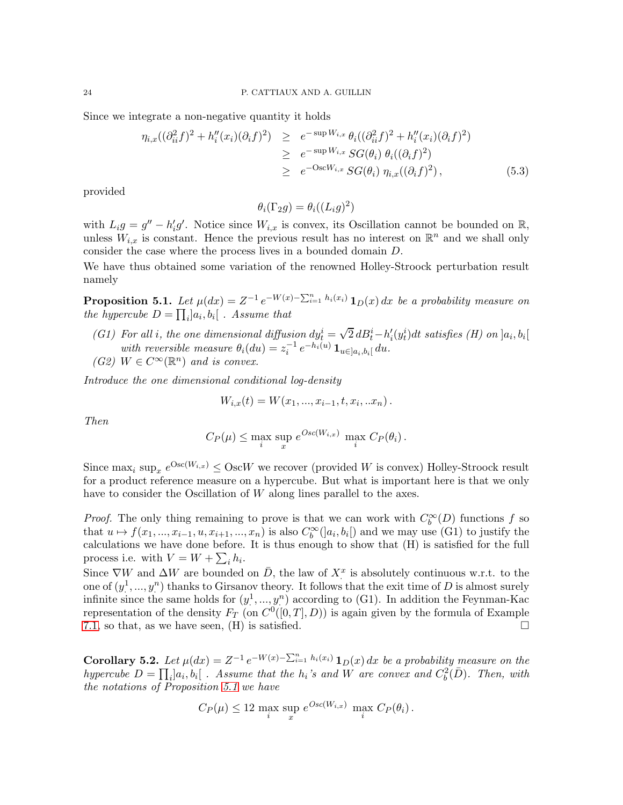Since we integrate a non-negative quantity it holds

$$
\eta_{i,x}((\partial_{ii}^{2} f)^{2} + h''_{i}(x_{i})(\partial_{i} f)^{2}) \geq e^{-\sup W_{i,x}} \theta_{i}((\partial_{ii}^{2} f)^{2} + h''_{i}(x_{i})(\partial_{i} f)^{2})
$$
  
\n
$$
\geq e^{-\sup W_{i,x}} SG(\theta_{i}) \theta_{i}((\partial_{i} f)^{2})
$$
  
\n
$$
\geq e^{-\text{Osc}W_{i,x}} SG(\theta_{i}) \eta_{i,x}((\partial_{i} f)^{2}), \qquad (5.3)
$$

provided

$$
\theta_i(\Gamma_2 g) = \theta_i((L_i g)^2)
$$

with  $L_i g = g'' - h'_i g'$ . Notice since  $W_{i,x}$  is convex, its Oscillation cannot be bounded on  $\mathbb{R}$ , unless  $W_{i,x}$  is constant. Hence the previous result has no interest on  $\mathbb{R}^n$  and we shall only consider the case where the process lives in a bounded domain D.

We have thus obtained some variation of the renowned Holley-Stroock perturbation result namely

<span id="page-23-0"></span>**Proposition 5.1.** Let  $\mu(dx) = Z^{-1} e^{-W(x) - \sum_{i=1}^{n} h_i(x_i)} \mathbf{1}_D(x) dx$  be a probability measure on the hypercube  $D = \prod_i ]a_i, b_i[$ . Assume that

- (G1) For all i, the one dimensional diffusion  $dy_t^i = \sqrt{2} dB_t^i h_i'(y_t^i)dt$  satisfies (H) on  $]a_i, b_i[$ with reversible measure  $\theta_i(du) = z_i^{-1} e^{-h_i(u)} \mathbf{1}_{u \in ]a_i, b_i[} du.$
- (G2)  $W \in C^{\infty}(\mathbb{R}^n)$  and is convex.

Introduce the one dimensional conditional log-density

$$
W_{i,x}(t) = W(x_1, ..., x_{i-1}, t, x_i, ... x_n).
$$

Then

$$
C_P(\mu) \leq \max_i \sup_x e^{Osc(W_{i,x})} \max_i C_P(\theta_i).
$$

Since  $\max_i \sup_x e^{\text{Osc}(W_{i,x})} \leq \text{Osc}W$  we recover (provided W is convex) Holley-Stroock result for a product reference measure on a hypercube. But what is important here is that we only have to consider the Oscillation of W along lines parallel to the axes.

*Proof.* The only thing remaining to prove is that we can work with  $C_b^{\infty}(D)$  functions f so that  $u \mapsto f(x_1, ..., x_{i-1}, u, x_{i+1}, ..., x_n)$  is also  $C_b^{\infty}(]a_i, b_i[)$  and we may use (G1) to justify the calculations we have done before. It is thus enough to show that (H) is satisfied for the full process i.e. with  $V = W + \sum_i h_i$ .

Since  $\nabla W$  and  $\Delta W$  are bounded on  $\overline{D}$ , the law of  $X^x$  is absolutely continuous w.r.t. to the one of  $(y_1^1, ..., y_n^n)$  thanks to Girsanov theory. It follows that the exit time of D is almost surely infinite since the same holds for  $(y_1^1, ..., y_n^n)$  according to (G1). In addition the Feynman-Kac representation of the density  $F_T$  (on  $C^0([0,T], D)$ ) is again given by the formula of Example [7.1,](#page-28-0) so that, as we have seen,  $(H)$  is satisfied.

**Corollary 5.2.** Let  $\mu(dx) = Z^{-1} e^{-W(x) - \sum_{i=1}^{n} h_i(x_i)} \mathbf{1}_D(x) dx$  be a probability measure on the hypercube  $D = \prod_i |a_i, b_i|$ . Assume that the  $h_i$ 's and W are convex and  $C_b^2(D)$ . Then, with the notations of Proposition [5.1](#page-23-0) we have

$$
C_P(\mu) \le 12 \max_i \sup_x e^{Osc(W_{i,x})} \max_i C_P(\theta_i).
$$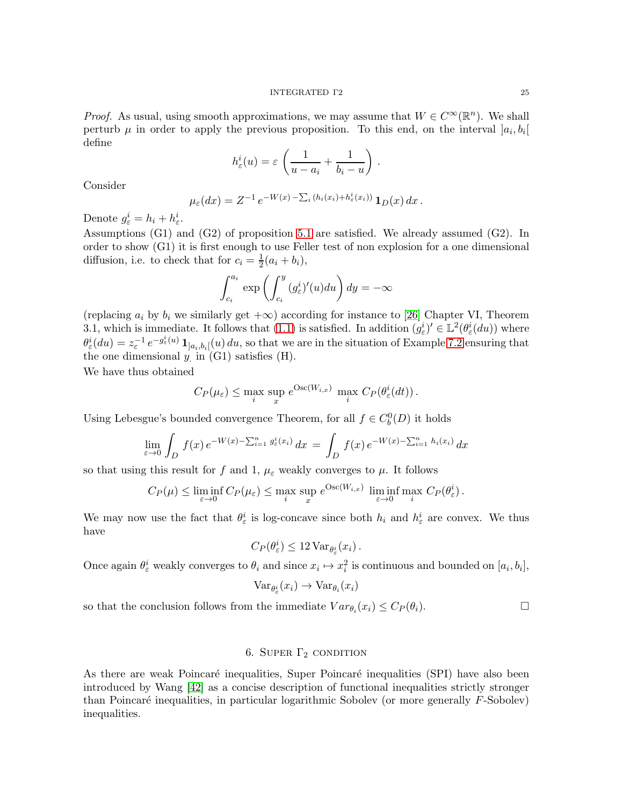*Proof.* As usual, using smooth approximations, we may assume that  $W \in C^{\infty}(\mathbb{R}^n)$ . We shall perturb  $\mu$  in order to apply the previous proposition. To this end, on the interval  $]a_i, b_i[$ define

$$
h_{\varepsilon}^{i}(u) = \varepsilon \left( \frac{1}{u - a_{i}} + \frac{1}{b_{i} - u} \right).
$$

Consider

$$
\mu_{\varepsilon}(dx) = Z^{-1} e^{-W(x) - \sum_i (h_i(x_i) + h_{\varepsilon}^i(x_i))} \mathbf{1}_D(x) dx.
$$

Denote  $g_{\varepsilon}^i = h_i + h_{\varepsilon}^i$ .

Assumptions (G1) and (G2) of proposition [5.1](#page-23-0) are satisfied. We already assumed (G2). In order to show (G1) it is first enough to use Feller test of non explosion for a one dimensional diffusion, i.e. to check that for  $c_i = \frac{1}{2}(a_i + b_i)$ ,

$$
\int_{c_i}^{a_i} \exp\left(\int_{c_i}^y (g_{\varepsilon}^i)'(u) du\right) dy = -\infty
$$

(replacing  $a_i$  by  $b_i$  we similarly get  $+\infty$ ) according for instance to [\[26\]](#page-31-13) Chapter VI, Theorem 3.1, which is immediate. It follows that [\(1.1\)](#page-1-0) is satisfied. In addition  $(g_{\varepsilon}^i)' \in \mathbb{L}^2(\theta_{\varepsilon}^i(du))$  where  $\theta_{\varepsilon}^{i}(du) = z_{\varepsilon}^{-1} e^{-g_{\varepsilon}^{i}(u)} \mathbf{1}_{]a_{i},b_{i}]}(u) du$ , so that we are in the situation of Example [7.2](#page-29-0) ensuring that the one dimensional  $y$  in  $(G1)$  satisfies  $(H)$ .

We have thus obtained

$$
C_P(\mu_{\varepsilon}) \leq \max_{i} \sup_{x} e^{\text{Osc}(W_{i,x})} \max_{i} C_P(\theta_{\varepsilon}^i(dt)).
$$

Using Lebesgue's bounded convergence Theorem, for all  $f \in C_b^0(D)$  it holds

$$
\lim_{\varepsilon \to 0} \int_D f(x) e^{-W(x) - \sum_{i=1}^n g_{\varepsilon}^i(x_i)} dx = \int_D f(x) e^{-W(x) - \sum_{i=1}^n h_i(x_i)} dx
$$

so that using this result for f and 1,  $\mu_{\varepsilon}$  weakly converges to  $\mu$ . It follows

$$
C_P(\mu) \leq \liminf_{\varepsilon \to 0} C_P(\mu_{\varepsilon}) \leq \max_{i} \sup_{x} e^{\text{Osc}(W_{i,x})} \liminf_{\varepsilon \to 0} \max_{i} C_P(\theta_{\varepsilon}^i).
$$

We may now use the fact that  $\theta_{\varepsilon}^{i}$  is log-concave since both  $h_i$  and  $h_{\varepsilon}^{i}$  are convex. We thus have

$$
C_P(\theta_\varepsilon^i) \leq 12 \operatorname{Var}_{\theta_\varepsilon^i}(x_i) .
$$

Once again  $\theta_{\varepsilon}^i$  weakly converges to  $\theta_i$  and since  $x_i \mapsto x_i^2$  is continuous and bounded on  $[a_i, b_i]$ ,

$$
\text{Var}_{\theta_{\varepsilon}^{i}}(x_{i}) \rightarrow \text{Var}_{\theta_{i}}(x_{i})
$$

so that the conclusion follows from the immediate  $Var_{\theta_i}(x_i) \leq C_P(\theta_i)$ .

# 6. SUPER  $\Gamma_2$  condition

As there are weak Poincaré inequalities, Super Poincaré inequalities (SPI) have also been introduced by Wang [\[42\]](#page-32-1) as a concise description of functional inequalities strictly stronger than Poincaré inequalities, in particular logarithmic Sobolev (or more generally  $F$ -Sobolev) inequalities.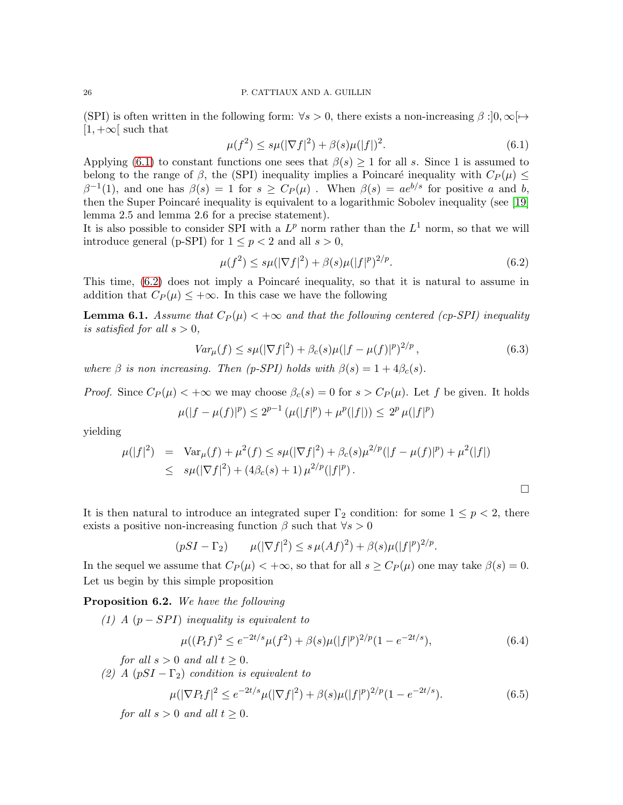## 26 P. CATTIAUX AND A. GUILLIN

(SPI) is often written in the following form:  $\forall s > 0$ , there exists a non-increasing  $\beta : ]0, \infty[\rightarrow$  $[1, +\infty)$  such that

<span id="page-25-0"></span>
$$
\mu(f^2) \le s\mu(|\nabla f|^2) + \beta(s)\mu(|f|)^2. \tag{6.1}
$$

Applying [\(6.1\)](#page-25-0) to constant functions one sees that  $\beta(s) \geq 1$  for all s. Since 1 is assumed to belong to the range of  $\beta$ , the (SPI) inequality implies a Poincaré inequality with  $C_P(\mu) \leq$  $\beta^{-1}(1)$ , and one has  $\beta(s) = 1$  for  $s \ge C_P(\mu)$ . When  $\beta(s) = ae^{b/s}$  for positive a and b, then the Super Poincaré inequality is equivalent to a logarithmic Sobolev inequality (see [\[19\]](#page-31-14) lemma 2.5 and lemma 2.6 for a precise statement).

It is also possible to consider SPI with a  $L^p$  norm rather than the  $L^1$  norm, so that we will introduce general (p-SPI) for  $1 \leq p < 2$  and all  $s > 0$ ,

<span id="page-25-1"></span>
$$
\mu(f^2) \le s\mu(|\nabla f|^2) + \beta(s)\mu(|f|^p)^{2/p}.\tag{6.2}
$$

This time,  $(6.2)$  does not imply a Poincaré inequality, so that it is natural to assume in addition that  $C_P(\mu) \leq +\infty$ . In this case we have the following

<span id="page-25-2"></span>**Lemma 6.1.** Assume that  $C_P(\mu) < +\infty$  and that the following centered (cp-SPI) inequality is satisfied for all  $s > 0$ ,

$$
Var_{\mu}(f) \le s\mu(|\nabla f|^2) + \beta_c(s)\mu(|f - \mu(f)|^p)^{2/p}, \tag{6.3}
$$

)

where  $\beta$  is non increasing. Then (p-SPI) holds with  $\beta(s) = 1 + 4\beta_c(s)$ .

*Proof.* Since  $C_P(\mu) < +\infty$  we may choose  $\beta_c(s) = 0$  for  $s > C_P(\mu)$ . Let f be given. It holds

$$
\mu(|f - \mu(f)|^p) \le 2^{p-1} \left( \mu(|f|^p) + \mu^p(|f|) \right) \le 2^p \mu(|f|^p)
$$

yielding

$$
\mu(|f|^2) = \text{Var}_{\mu}(f) + \mu^2(f) \leq s\mu(|\nabla f|^2) + \beta_c(s)\mu^{2/p}(|f - \mu(f)|^p) + \mu^2(|f|)
$$
  
 
$$
\leq s\mu(|\nabla f|^2) + (4\beta_c(s) + 1)\mu^{2/p}(|f|^p).
$$

It is then natural to introduce an integrated super  $\Gamma_2$  condition: for some  $1 \leq p < 2$ , there exists a positive non-increasing function  $\beta$  such that  $\forall s > 0$ 

$$
(pSI - \Gamma_2) \qquad \mu(|\nabla f|^2) \le s \,\mu(Af)^2) + \beta(s)\mu(|f|^p)^{2/p}.
$$

In the sequel we assume that  $C_P(\mu) < +\infty$ , so that for all  $s \geq C_P(\mu)$  one may take  $\beta(s) = 0$ . Let us begin by this simple proposition

## Proposition 6.2. We have the following

(1) A  $(p - SPI)$  inequality is equivalent to

$$
\mu((P_t f)^2 \le e^{-2t/s} \mu(f^2) + \beta(s) \mu(|f|^p)^{2/p} (1 - e^{-2t/s}),\tag{6.4}
$$

for all  $s > 0$  and all  $t \geq 0$ .

(2) A  $(pSI - \Gamma_2)$  condition is equivalent to

$$
\mu(|\nabla P_t f|^2 \le e^{-2t/s} \mu(|\nabla f|^2) + \beta(s) \mu(|f|^p)^{2/p} (1 - e^{-2t/s}).\tag{6.5}
$$

for all  $s > 0$  and all  $t > 0$ .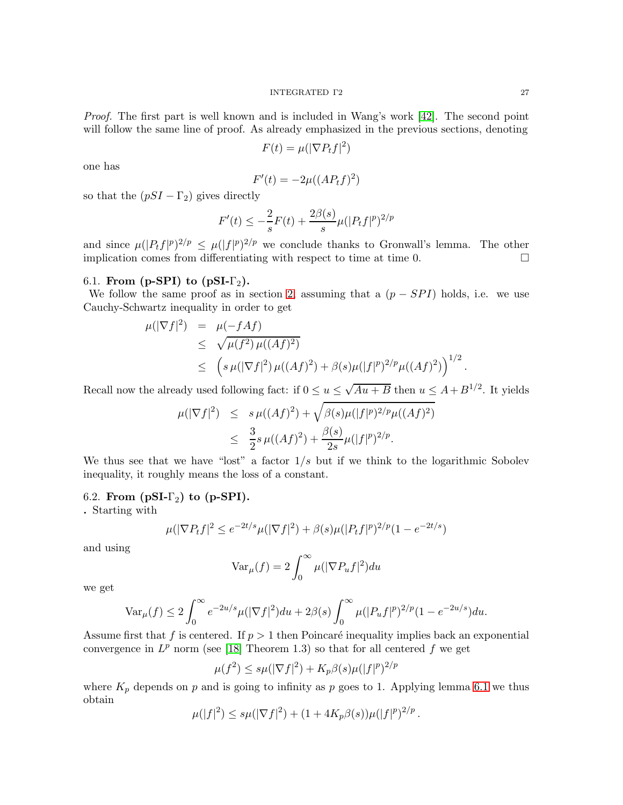Proof. The first part is well known and is included in Wang's work [\[42\]](#page-32-1). The second point will follow the same line of proof. As already emphasized in the previous sections, denoting

$$
F(t) = \mu(|\nabla P_t f|^2)
$$

one has

$$
F'(t) = -2\mu((AP_tf)^2)
$$

so that the  $(pSI - \Gamma_2)$  gives directly

$$
F'(t) \le -\frac{2}{s}F(t) + \frac{2\beta(s)}{s}\mu(|P_tf|^p)^{2/p}
$$

and since  $\mu(|P_t f|^p)^{2/p} \leq \mu(|f|^p)^{2/p}$  we conclude thanks to Gronwall's lemma. The other implication comes from differentiating with respect to time at time 0.  $\Box$ 

## 6.1. From (p-SPI) to (pSI- $\Gamma_2$ ).

We follow the same proof as in section [2,](#page-6-1) assuming that a  $(p - SPI)$  holds, i.e. we use Cauchy-Schwartz inequality in order to get

$$
\mu(|\nabla f|^2) = \mu(-fAf)
$$
  
\n
$$
\leq \sqrt{\mu(f^2)\mu((Af)^2)}
$$
  
\n
$$
\leq \left(s\mu(|\nabla f|^2)\mu((Af)^2) + \beta(s)\mu(|f|^p)^{2/p}\mu((Af)^2)\right)^{1/2}.
$$

Recall now the already used following fact: if  $0 \le u \le \sqrt{Au+B}$  then  $u \le A+B^{1/2}$ . It yields

$$
\mu(|\nabla f|^2) \leq s \mu((Af)^2) + \sqrt{\beta(s)\mu(|f|^p)^{2/p}\mu((Af)^2)}
$$
  

$$
\leq \frac{3}{2}s \mu((Af)^2) + \frac{\beta(s)}{2s}\mu(|f|^p)^{2/p}.
$$

We thus see that we have "lost" a factor  $1/s$  but if we think to the logarithmic Sobolev inequality, it roughly means the loss of a constant.

## 6.2. From  $(pSI-\Gamma_2)$  to  $(p-SPI)$ .

. Starting with

$$
\mu(|\nabla P_t f|^2 \le e^{-2t/s} \mu(|\nabla f|^2) + \beta(s)\mu(|P_t f|^2)^{2/p} (1 - e^{-2t/s})
$$

and using

$$
\text{Var}_{\mu}(f) = 2 \int_0^\infty \mu(|\nabla P_u f|^2) du
$$

we get

$$
\text{Var}_{\mu}(f) \le 2 \int_0^{\infty} e^{-2u/s} \mu(|\nabla f|^2) du + 2\beta(s) \int_0^{\infty} \mu(|P_u f|^p)^{2/p} (1 - e^{-2u/s}) du.
$$

Assume first that f is centered. If  $p > 1$  then Poincaré inequality implies back an exponential convergence in  $L^p$  norm (see [\[18\]](#page-31-15) Theorem 1.3) so that for all centered f we get

$$
\mu(f^2) \le s\mu(|\nabla f|^2) + K_p \beta(s)\mu(|f|^p)^{2/p}
$$

where  $K_p$  depends on p and is going to infinity as p goes to 1. Applying lemma [6.1](#page-25-2) we thus obtain

$$
\mu(|f|^2) \le s\mu(|\nabla f|^2) + (1 + 4K_p\beta(s))\mu(|f|^p)^{2/p}.
$$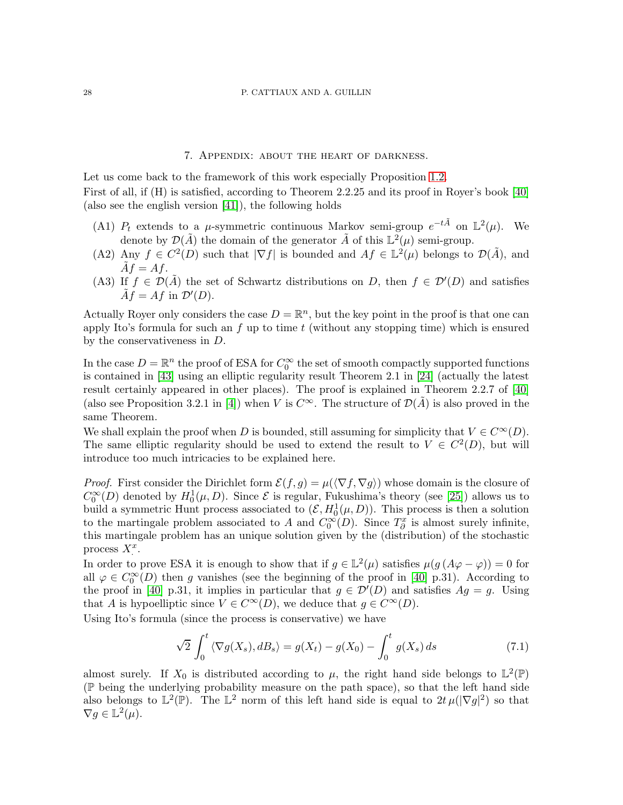#### 28 P. CATTIAUX AND A. GUILLIN

## 7. Appendix: about the heart of darkness.

<span id="page-27-0"></span>Let us come back to the framework of this work especially Proposition [1.2.](#page-1-1) First of all, if (H) is satisfied, according to Theorem 2.2.25 and its proof in Royer's book [\[40\]](#page-32-2) (also see the english version [\[41\]](#page-32-3)), the following holds

- (A1)  $P_t$  extends to a  $\mu$ -symmetric continuous Markov semi-group  $e^{-t\tilde{A}}$  on  $\mathbb{L}^2(\mu)$ . We denote by  $\mathcal{D}(\tilde{A})$  the domain of the generator  $\tilde{A}$  of this  $\mathbb{L}^2(\mu)$  semi-group.
- (A2) Any  $f \in C^2(D)$  such that  $|\nabla f|$  is bounded and  $Af \in \mathbb{L}^2(\mu)$  belongs to  $\mathcal{D}(\tilde{A})$ , and  $\tilde{A}f = Af.$
- (A3) If  $f \in \mathcal{D}(\tilde{A})$  the set of Schwartz distributions on D, then  $f \in \mathcal{D}'(D)$  and satisfies  $\tilde{A}f = Af$  in  $\mathcal{D}'(D)$ .

Actually Royer only considers the case  $D = \mathbb{R}^n$ , but the key point in the proof is that one can apply Ito's formula for such an  $f$  up to time  $t$  (without any stopping time) which is ensured by the conservativeness in D.

In the case  $D = \mathbb{R}^n$  the proof of ESA for  $C_0^{\infty}$  the set of smooth compactly supported functions is contained in [\[43\]](#page-32-4) using an elliptic regularity result Theorem 2.1 in [\[24\]](#page-31-16) (actually the latest result certainly appeared in other places). The proof is explained in Theorem 2.2.7 of [\[40\]](#page-32-2) (also see Proposition 3.2.1 in [\[4\]](#page-30-1)) when V is  $C^{\infty}$ . The structure of  $\mathcal{D}(\tilde{A})$  is also proved in the same Theorem.

We shall explain the proof when D is bounded, still assuming for simplicity that  $V \in C^{\infty}(D)$ . The same elliptic regularity should be used to extend the result to  $V \in C^2(D)$ , but will introduce too much intricacies to be explained here.

*Proof.* First consider the Dirichlet form  $\mathcal{E}(f,g) = \mu(\langle \nabla f, \nabla g \rangle)$  whose domain is the closure of  $C_0^{\infty}(D)$  denoted by  $H_0^1(\mu, D)$ . Since  $\mathcal E$  is regular, Fukushima's theory (see [\[25\]](#page-31-17)) allows us to build a symmetric Hunt process associated to  $(\mathcal{E}, H_0^1(\mu, D))$ . This process is then a solution to the martingale problem associated to A and  $C_0^{\infty}(D)$ . Since  $T_{\partial}^x$  is almost surely infinite, this martingale problem has an unique solution given by the (distribution) of the stochastic process  $X^x$ .

In order to prove ESA it is enough to show that if  $g \in \mathbb{L}^2(\mu)$  satisfies  $\mu(g(A\varphi - \varphi)) = 0$  for all  $\varphi \in C_0^{\infty}(D)$  then g vanishes (see the beginning of the proof in [\[40\]](#page-32-2) p.31). According to the proof in [\[40\]](#page-32-2) p.31, it implies in particular that  $g \in \mathcal{D}'(D)$  and satisfies  $Ag = g$ . Using that A is hypoelliptic since  $V \in C^{\infty}(D)$ , we deduce that  $g \in C^{\infty}(D)$ .

Using Ito's formula (since the process is conservative) we have

$$
\sqrt{2} \int_0^t \langle \nabla g(X_s), dB_s \rangle = g(X_t) - g(X_0) - \int_0^t g(X_s) ds \tag{7.1}
$$

almost surely. If  $X_0$  is distributed according to  $\mu$ , the right hand side belongs to  $\mathbb{L}^2(\mathbb{P})$ (P being the underlying probability measure on the path space), so that the left hand side also belongs to  $\mathbb{L}^2(\mathbb{P})$ . The  $\mathbb{L}^2$  norm of this left hand side is equal to  $2t \mu (|\nabla g|^2)$  so that  $\nabla g \in \mathbb{L}^2(\mu).$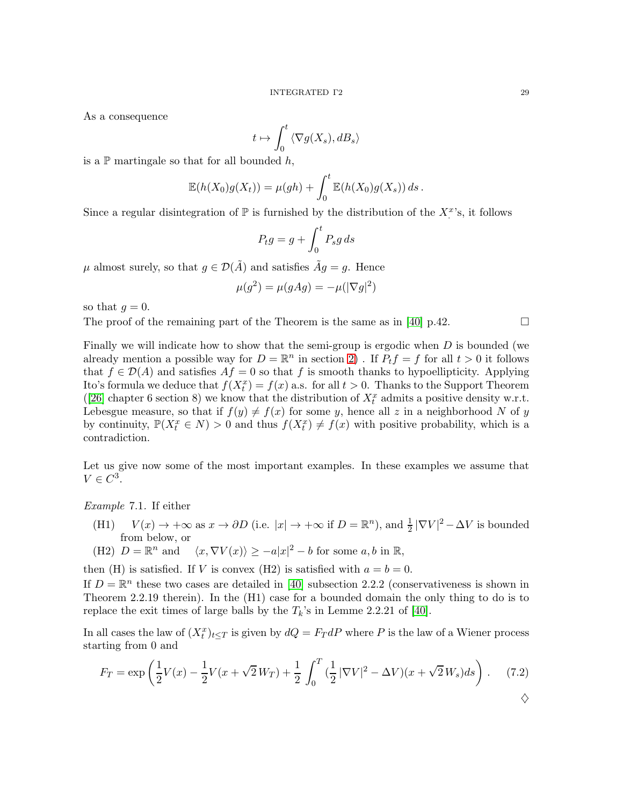As a consequence

$$
t\mapsto \int_0^t \left<\nabla g(X_s), dB_s\right>
$$

is a  $\mathbb P$  martingale so that for all bounded  $h$ ,

$$
\mathbb{E}(h(X_0)g(X_t)) = \mu(gh) + \int_0^t \mathbb{E}(h(X_0)g(X_s)) ds.
$$

Since a regular disintegration of  $\mathbb P$  is furnished by the distribution of the  $X^x$ 's, it follows

$$
P_t g = g + \int_0^t P_s g \, ds
$$

 $\mu$  almost surely, so that  $g \in \mathcal{D}(\tilde{A})$  and satisfies  $\tilde{A}g = g$ . Hence

$$
\mu(g^2) = \mu(gAg) = -\mu(|\nabla g|^2)
$$

so that  $g = 0$ .

The proof of the remaining part of the Theorem is the same as in [\[40\]](#page-32-2) p.42.

Finally we will indicate how to show that the semi-group is ergodic when  $D$  is bounded (we already mention a possible way for  $D = \mathbb{R}^n$  in section [2\)](#page-6-1). If  $P_t f = f$  for all  $t > 0$  it follows that  $f \in \mathcal{D}(A)$  and satisfies  $Af = 0$  so that f is smooth thanks to hypoellipticity. Applying Ito's formula we deduce that  $f(X_t^x) = f(x)$  a.s. for all  $t > 0$ . Thanks to the Support Theorem ([\[26\]](#page-31-13) chapter 6 section 8) we know that the distribution of  $X_t^x$  admits a positive density w.r.t. Lebesgue measure, so that if  $f(y) \neq f(x)$  for some y, hence all z in a neighborhood N of y by continuity,  $\mathbb{P}(X_t^x \in N) > 0$  and thus  $f(X_t^x) \neq f(x)$  with positive probability, which is a contradiction.

Let us give now some of the most important examples. In these examples we assume that  $V \in C^3$ .

<span id="page-28-0"></span>Example 7.1. If either

- (H1)  $V(x) \to +\infty$  as  $x \to \partial D$  (i.e.  $|x| \to +\infty$  if  $D = \mathbb{R}^n$ ), and  $\frac{1}{2} |\nabla V|^2 \Delta V$  is bounded from below, or
- (H2)  $D = \mathbb{R}^n$  and  $\langle x, \nabla V(x) \rangle \ge -a|x|^2 b$  for some  $a, b$  in  $\mathbb{R}$ ,

then (H) is satisfied. If V is convex (H2) is satisfied with  $a = b = 0$ .

If  $D = \mathbb{R}^n$  these two cases are detailed in [\[40\]](#page-32-2) subsection 2.2.2 (conservativeness is shown in Theorem 2.2.19 therein). In the (H1) case for a bounded domain the only thing to do is to replace the exit times of large balls by the  $T_k$ 's in Lemme 2.2.21 of [\[40\]](#page-32-2).

In all cases the law of  $(X_t^x)_{t\leq T}$  is given by  $dQ = F_T dP$  where P is the law of a Wiener process starting from 0 and

<span id="page-28-1"></span>
$$
F_T = \exp\left(\frac{1}{2}V(x) - \frac{1}{2}V(x + \sqrt{2}W_T) + \frac{1}{2}\int_0^T (\frac{1}{2}|\nabla V|^2 - \Delta V)(x + \sqrt{2}W_s)ds\right). \tag{7.2}
$$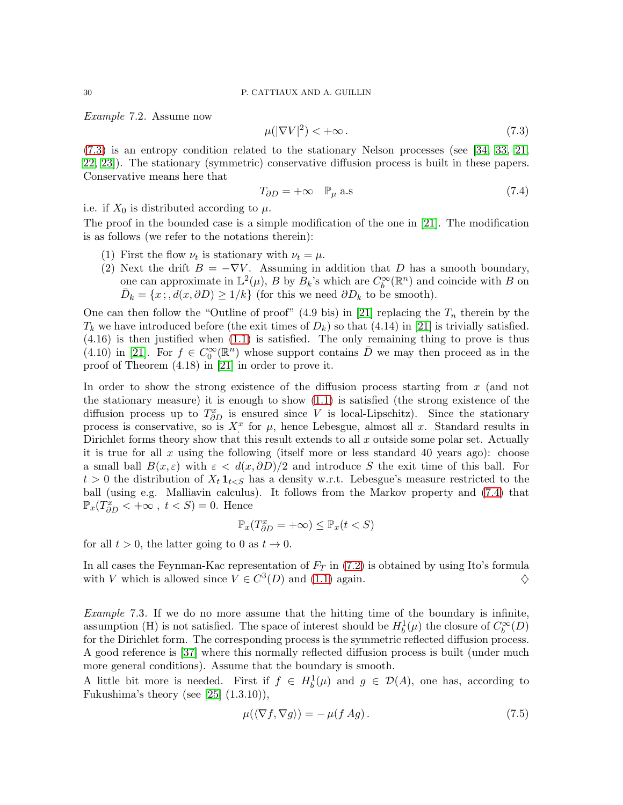<span id="page-29-0"></span>Example 7.2. Assume now

<span id="page-29-1"></span>
$$
\mu(|\nabla V|^2) < +\infty \tag{7.3}
$$

[\(7.3\)](#page-29-1) is an entropy condition related to the stationary Nelson processes (see [\[34,](#page-31-18) [33,](#page-31-19) [21,](#page-31-20) [22,](#page-31-21) [23\]](#page-31-22)). The stationary (symmetric) conservative diffusion process is built in these papers. Conservative means here that

<span id="page-29-2"></span>
$$
T_{\partial D} = +\infty \quad \mathbb{P}_{\mu} \text{ a.s} \tag{7.4}
$$

i.e. if  $X_0$  is distributed according to  $\mu$ .

The proof in the bounded case is a simple modification of the one in [\[21\]](#page-31-20). The modification is as follows (we refer to the notations therein):

- (1) First the flow  $\nu_t$  is stationary with  $\nu_t = \mu$ .
- (2) Next the drift  $B = -\nabla V$ . Assuming in addition that D has a smooth boundary, one can approximate in  $\mathbb{L}^2(\mu)$ , B by  $B_k$ 's which are  $C_b^{\infty}(\mathbb{R}^n)$  and coincide with B on  $\bar{D}_k = \{x, d(x, \partial D) \ge 1/k\}$  (for this we need  $\partial D_k$  to be smooth).

One can then follow the "Outline of proof" (4.9 bis) in [\[21\]](#page-31-20) replacing the  $T_n$  therein by the  $T_k$  we have introduced before (the exit times of  $D_k$ ) so that (4.14) in [\[21\]](#page-31-20) is trivially satisfied. (4.16) is then justified when [\(1.1\)](#page-1-0) is satisfied. The only remaining thing to prove is thus (4.10) in [\[21\]](#page-31-20). For  $f \in C_0^{\infty}(\mathbb{R}^n)$  whose support contains  $\overline{D}$  we may then proceed as in the proof of Theorem (4.18) in [\[21\]](#page-31-20) in order to prove it.

In order to show the strong existence of the diffusion process starting from  $x$  (and not the stationary measure) it is enough to show [\(1.1\)](#page-1-0) is satisfied (the strong existence of the diffusion process up to  $T_{\partial D}^x$  is ensured since V is local-Lipschitz). Since the stationary process is conservative, so is  $X^x$  for  $\mu$ , hence Lebesgue, almost all x. Standard results in Dirichlet forms theory show that this result extends to all  $x$  outside some polar set. Actually it is true for all x using the following (itself more or less standard 40 years ago): choose a small ball  $B(x,\varepsilon)$  with  $\varepsilon < d(x,\partial D)/2$  and introduce S the exit time of this ball. For  $t > 0$  the distribution of  $X_t 1_{t < S}$  has a density w.r.t. Lebesgue's measure restricted to the ball (using e.g. Malliavin calculus). It follows from the Markov property and [\(7.4\)](#page-29-2) that  $\mathbb{P}_x(T^x_{\partial D} < +\infty, t < S) = 0.$  Hence

$$
\mathbb{P}_x(T^x_{\partial D} = +\infty) \le \mathbb{P}_x(t < S)
$$

for all  $t > 0$ , the latter going to 0 as  $t \to 0$ .

In all cases the Feynman-Kac representation of  $F_T$  in [\(7.2\)](#page-28-1) is obtained by using Ito's formula with V which is allowed since  $V \in C^3(D)$  and [\(1.1\)](#page-1-0) again.  $\diamondsuit$ 

Example 7.3. If we do no more assume that the hitting time of the boundary is infinite, assumption (H) is not satisfied. The space of interest should be  $H_b^1(\mu)$  the closure of  $C_b^{\infty}(D)$ for the Dirichlet form. The corresponding process is the symmetric reflected diffusion process. A good reference is [\[37\]](#page-31-23) where this normally reflected diffusion process is built (under much more general conditions). Assume that the boundary is smooth.

A little bit more is needed. First if  $f \in H_b^1(\mu)$  and  $g \in \mathcal{D}(A)$ , one has, according to Fukushima's theory (see  $[25]$   $(1.3.10)$ ),

$$
\mu(\langle \nabla f, \nabla g \rangle) = -\mu(f \, Ag). \tag{7.5}
$$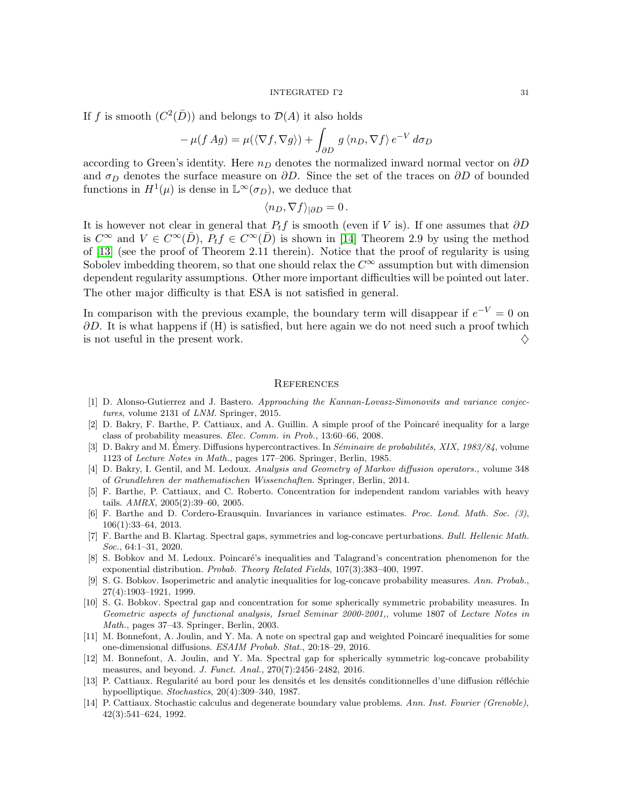If f is smooth  $(C^2(\overline{D}))$  and belongs to  $\mathcal{D}(A)$  it also holds

$$
-\mu(f \, Ag) = \mu(\langle \nabla f, \nabla g \rangle) + \int_{\partial D} g \, \langle n_D, \nabla f \rangle \, e^{-V} \, d\sigma_D
$$

according to Green's identity. Here  $n_D$  denotes the normalized inward normal vector on  $\partial D$ and  $\sigma_D$  denotes the surface measure on  $\partial D$ . Since the set of the traces on  $\partial D$  of bounded functions in  $H^1(\mu)$  is dense in  $\mathbb{L}^{\infty}(\sigma_D)$ , we deduce that

$$
\langle n_D, \nabla f \rangle_{|\partial D} = 0.
$$

It is however not clear in general that  $P_t f$  is smooth (even if V is). If one assumes that  $\partial D$ is  $C^{\infty}$  and  $V \in C^{\infty}(\overline{D}), P_t f \in C^{\infty}(\overline{D})$  is shown in [\[14\]](#page-30-12) Theorem 2.9 by using the method of [\[13\]](#page-30-13) (see the proof of Theorem 2.11 therein). Notice that the proof of regularity is using Sobolev imbedding theorem, so that one should relax the  $C^{\infty}$  assumption but with dimension dependent regularity assumptions. Other more important difficulties will be pointed out later. The other major difficulty is that ESA is not satisfied in general.

In comparison with the previous example, the boundary term will disappear if  $e^{-V} = 0$  on  $\partial D$ . It is what happens if (H) is satisfied, but here again we do not need such a proof twhich is not useful in the present work.  $\diamondsuit$ 

### **REFERENCES**

- <span id="page-30-2"></span>[1] D. Alonso-Gutierrez and J. Bastero. Approaching the Kannan-Lovasz-Simonovits and variance conjectures, volume 2131 of LNM. Springer, 2015.
- <span id="page-30-5"></span>[2] D. Bakry, F. Barthe, P. Cattiaux, and A. Guillin. A simple proof of the Poincar´e inequality for a large class of probability measures. Elec. Comm. in Prob., 13:60–66, 2008.
- <span id="page-30-0"></span>[3] D. Bakry and M. Émery. Diffusions hypercontractives. In  $Séminaire de probabilities, XIX, 1983/84$ , volume 1123 of Lecture Notes in Math., pages 177–206. Springer, Berlin, 1985.
- <span id="page-30-1"></span>[4] D. Bakry, I. Gentil, and M. Ledoux. Analysis and Geometry of Markov diffusion operators., volume 348 of Grundlehren der mathematischen Wissenchaften. Springer, Berlin, 2014.
- <span id="page-30-8"></span>[5] F. Barthe, P. Cattiaux, and C. Roberto. Concentration for independent random variables with heavy tails. AMRX, 2005(2):39–60, 2005.
- <span id="page-30-3"></span>[6] F. Barthe and D. Cordero-Erausquin. Invariances in variance estimates. Proc. Lond. Math. Soc. (3), 106(1):33–64, 2013.
- <span id="page-30-6"></span>[7] F. Barthe and B. Klartag. Spectral gaps, symmetries and log-concave perturbations. Bull. Hellenic Math. Soc., 64:1–31, 2020.
- <span id="page-30-9"></span>[8] S. Bobkov and M. Ledoux. Poincaré's inequalities and Talagrand's concentration phenomenon for the exponential distribution. Probab. Theory Related Fields, 107(3):383–400, 1997.
- <span id="page-30-4"></span>[9] S. G. Bobkov. Isoperimetric and analytic inequalities for log-concave probability measures. Ann. Probab., 27(4):1903–1921, 1999.
- <span id="page-30-7"></span>[10] S. G. Bobkov. Spectral gap and concentration for some spherically symmetric probability measures. In Geometric aspects of functional analysis, Israel Seminar 2000-2001,, volume 1807 of Lecture Notes in Math., pages 37–43. Springer, Berlin, 2003.
- <span id="page-30-10"></span>[11] M. Bonnefont, A. Joulin, and Y. Ma. A note on spectral gap and weighted Poincaré inequalities for some one-dimensional diffusions. ESAIM Probab. Stat., 20:18–29, 2016.
- <span id="page-30-11"></span>[12] M. Bonnefont, A. Joulin, and Y. Ma. Spectral gap for spherically symmetric log-concave probability measures, and beyond. J. Funct. Anal., 270(7):2456–2482, 2016.
- <span id="page-30-13"></span>[13] P. Cattiaux. Regularité au bord pour les densités et les densités conditionnelles d'une diffusion réfléchie hypoelliptique. Stochastics, 20(4):309–340, 1987.
- <span id="page-30-12"></span>[14] P. Cattiaux. Stochastic calculus and degenerate boundary value problems. Ann. Inst. Fourier (Grenoble), 42(3):541–624, 1992.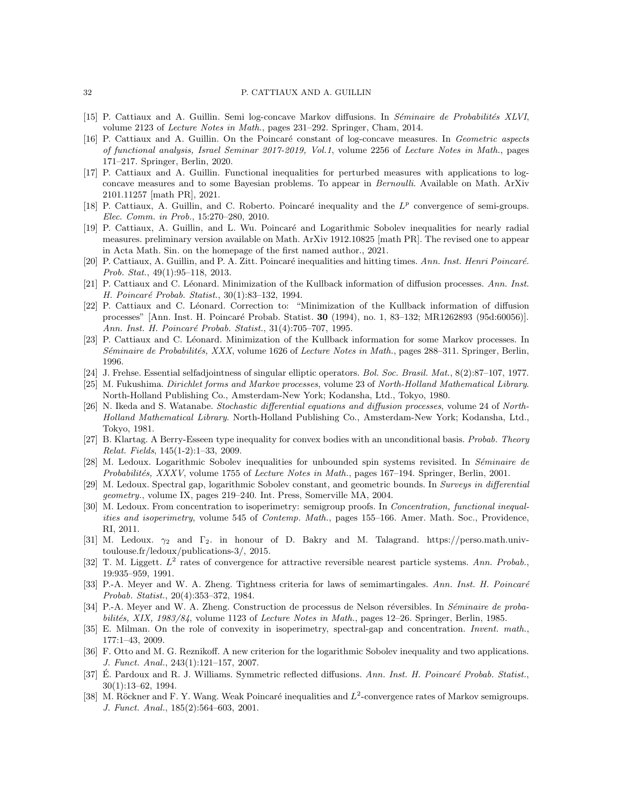#### <span id="page-31-9"></span>32 P. CATTIAUX AND A. GUILLIN

- <span id="page-31-11"></span>[15] P. Cattiaux and A. Guillin. Semi log-concave Markov diffusions. In Séminaire de Probabilités XLVI, volume 2123 of Lecture Notes in Math., pages 231–292. Springer, Cham, 2014.
- [16] P. Cattiaux and A. Guillin. On the Poincaré constant of log-concave measures. In Geometric aspects of functional analysis, Israel Seminar 2017-2019, Vol.1, volume 2256 of Lecture Notes in Math., pages 171–217. Springer, Berlin, 2020.
- <span id="page-31-7"></span>[17] P. Cattiaux and A. Guillin. Functional inequalities for perturbed measures with applications to logconcave measures and to some Bayesian problems. To appear in Bernoulli. Available on Math. ArXiv 2101.11257 [math PR], 2021.
- <span id="page-31-15"></span>[18] P. Cattiaux, A. Guillin, and C. Roberto. Poincaré inequality and the  $L^p$  convergence of semi-groups. Elec. Comm. in Prob., 15:270–280, 2010.
- <span id="page-31-14"></span>[19] P. Cattiaux, A. Guillin, and L. Wu. Poincaré and Logarithmic Sobolev inequalities for nearly radial measures. preliminary version available on Math. ArXiv 1912.10825 [math PR]. The revised one to appear in Acta Math. Sin. on the homepage of the first named author., 2021.
- <span id="page-31-2"></span>[20] P. Cattiaux, A. Guillin, and P. A. Zitt. Poincaré inequalities and hitting times. Ann. Inst. Henri Poincaré. Prob. Stat., 49(1):95–118, 2013.
- <span id="page-31-20"></span>[21] P. Cattiaux and C. Léonard. Minimization of the Kullback information of diffusion processes. Ann. Inst. H. Poincaré Probab. Statist., 30(1):83-132, 1994.
- <span id="page-31-21"></span>[22] P. Cattiaux and C. Léonard. Correction to: "Minimization of the Kullback information of diffusion processes" [Ann. Inst. H. Poincaré Probab. Statist. 30 (1994), no. 1, 83-132; MR1262893 (95d:60056)]. Ann. Inst. H. Poincaré Probab. Statist., 31(4):705-707, 1995.
- <span id="page-31-22"></span>[23] P. Cattiaux and C. Léonard. Minimization of the Kullback information for some Markov processes. In Séminaire de Probabilités, XXX, volume 1626 of Lecture Notes in Math., pages 288–311. Springer, Berlin, 1996.
- <span id="page-31-17"></span><span id="page-31-16"></span>[24] J. Frehse. Essential selfadjointness of singular elliptic operators. Bol. Soc. Brasil. Mat., 8(2):87–107, 1977.
- [25] M. Fukushima. Dirichlet forms and Markov processes, volume 23 of North-Holland Mathematical Library. North-Holland Publishing Co., Amsterdam-New York; Kodansha, Ltd., Tokyo, 1980.
- <span id="page-31-13"></span>[26] N. Ikeda and S. Watanabe. Stochastic differential equations and diffusion processes, volume 24 of North-Holland Mathematical Library. North-Holland Publishing Co., Amsterdam-New York; Kodansha, Ltd., Tokyo, 1981.
- <span id="page-31-1"></span>[27] B. Klartag. A Berry-Esseen type inequality for convex bodies with an unconditional basis. Probab. Theory Relat. Fields, 145(1-2):1–33, 2009.
- <span id="page-31-0"></span>[28] M. Ledoux. Logarithmic Sobolev inequalities for unbounded spin systems revisited. In Séminaire de Probabilités, XXXV, volume 1755 of Lecture Notes in Math., pages 167–194. Springer, Berlin, 2001.
- <span id="page-31-12"></span>[29] M. Ledoux. Spectral gap, logarithmic Sobolev constant, and geometric bounds. In Surveys in differential geometry., volume IX, pages 219–240. Int. Press, Somerville MA, 2004.
- <span id="page-31-10"></span>[30] M. Ledoux. From concentration to isoperimetry: semigroup proofs. In *Concentration, functional inequal*ities and isoperimetry, volume 545 of Contemp. Math., pages 155–166. Amer. Math. Soc., Providence, RI, 2011.
- <span id="page-31-8"></span>[31] M. Ledoux.  $\gamma_2$  and  $\Gamma_2$ . in honour of D. Bakry and M. Talagrand. https://perso.math.univtoulouse.fr/ledoux/publications-3/, 2015.
- <span id="page-31-3"></span>[32] T. M. Liggett.  $L^2$  rates of convergence for attractive reversible nearest particle systems. Ann. Probab., 19:935–959, 1991.
- <span id="page-31-19"></span>[33] P.-A. Meyer and W. A. Zheng. Tightness criteria for laws of semimartingales. Ann. Inst. H. Poincaré Probab. Statist., 20(4):353–372, 1984.
- <span id="page-31-18"></span>[34] P.-A. Meyer and W. A. Zheng. Construction de processus de Nelson réversibles. In Séminaire de probabilités, XIX, 1983/84, volume 1123 of Lecture Notes in Math., pages 12–26. Springer, Berlin, 1985.
- <span id="page-31-5"></span>[35] E. Milman. On the role of convexity in isoperimetry, spectral-gap and concentration. Invent. math., 177:1–43, 2009.
- <span id="page-31-6"></span>[36] F. Otto and M. G. Reznikoff. A new criterion for the logarithmic Sobolev inequality and two applications. J. Funct. Anal., 243(1):121–157, 2007.
- <span id="page-31-23"></span>[37] E. Pardoux and R. J. Williams. Symmetric reflected diffusions. Ann. Inst. H. Poincaré Probab. Statist., 30(1):13–62, 1994.
- <span id="page-31-4"></span>[38] M. Röckner and F. Y. Wang. Weak Poincaré inequalities and  $L^2$ -convergence rates of Markov semigroups. J. Funct. Anal., 185(2):564–603, 2001.